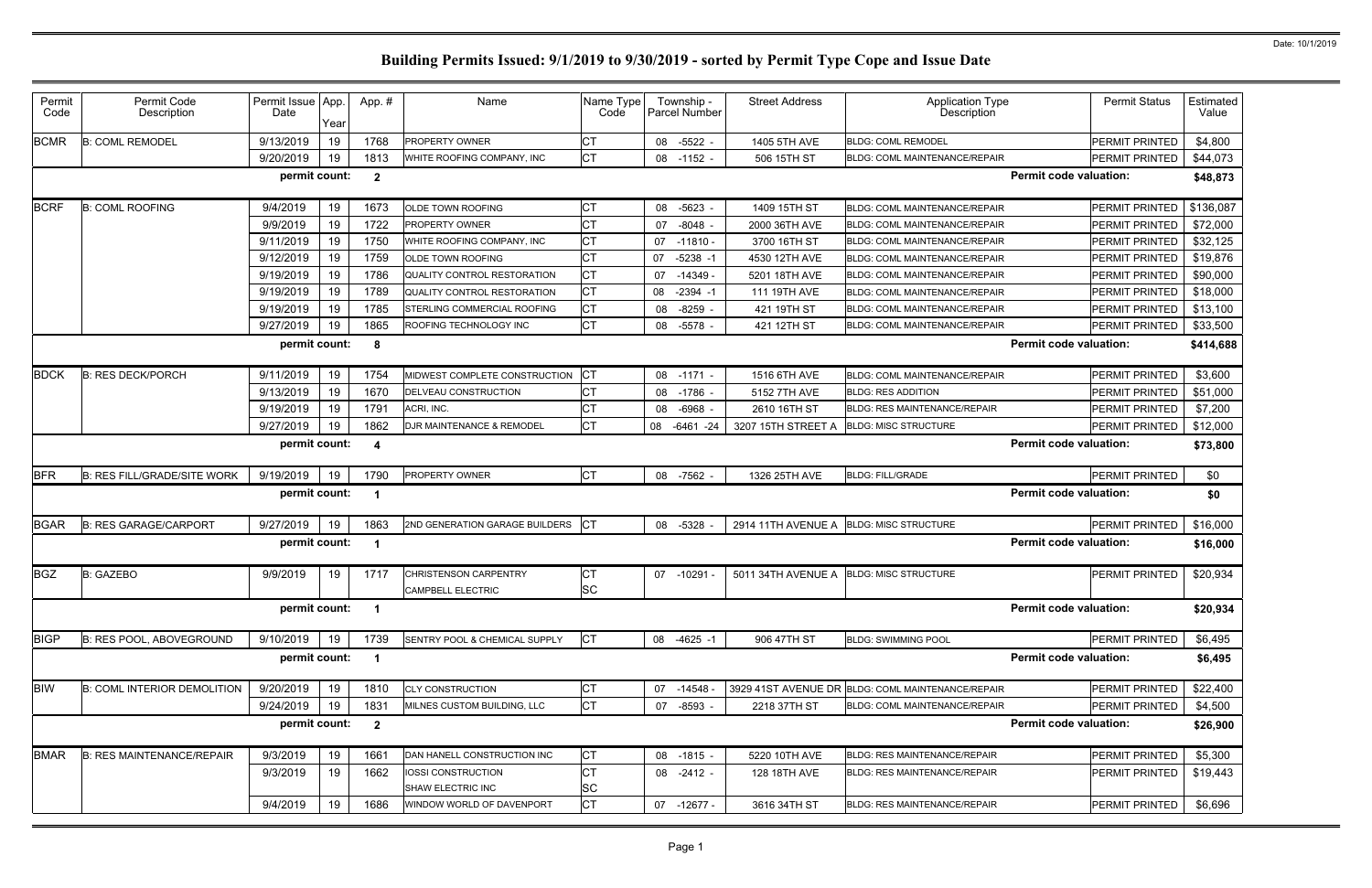| Permit<br>Permit Code<br>Permit Issue App<br>Name<br>Name Type<br><b>Street Address</b><br><b>Application Type</b><br><b>Permit Status</b><br>Estimated<br>App.#<br>Township -<br>Description<br>Parcel Number<br>Description<br>Date<br>Code<br>Value<br>Code<br>Year<br><b>CT</b><br>9/13/2019<br>1768<br>19<br>-5522 -<br><b>PERMIT PRINTED</b><br>\$4,800<br><b>B: COML REMODEL</b><br><b>PROPERTY OWNER</b><br>08<br>1405 5TH AVE<br><b>BLDG: COML REMODEL</b><br><b>CT</b><br>9/20/2019<br>19<br>\$44,073<br>1813<br>506 15TH ST<br><b>PERMIT PRINTED</b><br>WHITE ROOFING COMPANY, INC<br>08 -1152 -<br><b>BLDG: COML MAINTENANCE/REPAIR</b><br>permit count:<br><b>Permit code valuation:</b><br>$\overline{2}$<br>\$48,873<br>9/4/2019<br>1673<br>СT<br>\$136,087<br><b>B: COML ROOFING</b><br>19<br>1409 15TH ST<br><b>PERMIT PRINTED</b><br><b>OLDE TOWN ROOFING</b><br>08<br>-5623<br><b>BLDG: COML MAINTENANCE/REPAIR</b><br><b>CT</b><br>9/9/2019<br>19<br>1722<br>$-8048$<br>PERMIT PRINTED<br>\$72,000<br>PROPERTY OWNER<br>07<br>2000 36TH AVE<br><b>BLDG: COML MAINTENANCE/REPAIR</b><br><b>CT</b><br>9/11/2019<br>19<br>1750<br>\$32,125<br>3700 16TH ST<br><b>PERMIT PRINTED</b><br>WHITE ROOFING COMPANY, INC<br>07<br>$-11810 -$<br>BLDG: COML MAINTENANCE/REPAIR<br><b>CT</b><br>9/12/2019<br>19<br>1759<br>$-5238 - 1$<br>PERMIT PRINTED<br>\$19,876<br>07<br>4530 12TH AVE<br><b>OLDE TOWN ROOFING</b><br><b>BLDG: COML MAINTENANCE/REPAIR</b><br><b>CT</b><br>9/19/2019<br>19<br>1786<br>\$90,000<br>$-14349 -$<br><b>PERMIT PRINTED</b><br>QUALITY CONTROL RESTORATION<br>07<br>5201 18TH AVE<br><b>BLDG: COML MAINTENANCE/REPAIR</b><br><b>CT</b><br>9/19/2019<br>19<br>1789<br>\$18,000<br>QUALITY CONTROL RESTORATION<br>08<br>$-2394 - 1$<br>111 19TH AVE<br><b>BLDG: COML MAINTENANCE/REPAIR</b><br>PERMIT PRINTED<br><b>CT</b><br>9/19/2019<br>19<br>1785<br>STERLING COMMERCIAL ROOFING<br>421 19TH ST<br>BLDG: COML MAINTENANCE/REPAIR<br><b>PERMIT PRINTED</b><br>\$13,100<br>08<br>-8259<br><b>CT</b><br>\$33,500<br>9/27/2019<br>19<br>1865<br>ROOFING TECHNOLOGY INC<br>PERMIT PRINTED<br>08 -5578 -<br>421 12TH ST<br><b>BLDG: COML MAINTENANCE/REPAIR</b><br><b>Permit code valuation:</b><br>permit count:<br>\$414,688<br>8<br><b>CT</b><br>9/11/2019<br>19<br>1754<br>MIDWEST COMPLETE CONSTRUCTION<br>PERMIT PRINTED<br>\$3,600<br><b>B: RES DECK/PORCH</b><br>08 -1171 -<br>1516 6TH AVE<br><b>BLDG: COML MAINTENANCE/REPAIR</b><br><b>CT</b><br>19<br>1670<br>\$51,000<br>9/13/2019<br>DELVEAU CONSTRUCTION<br>-1786<br>5152 7TH AVE<br><b>BLDG: RES ADDITION</b><br>PERMIT PRINTED<br>08<br><b>CT</b><br>9/19/2019<br>19<br>1791<br>ACRI, INC.<br>PERMIT PRINTED<br>\$7,200<br>$-6968$<br>2610 16TH ST<br><b>BLDG: RES MAINTENANCE/REPAIR</b><br>08<br><b>CT</b><br>\$12,000<br>9/27/2019<br>19<br>1862<br>DJR MAINTENANCE & REMODEL<br>08<br><b>BLDG: MISC STRUCTURE</b><br>PERMIT PRINTED<br>-6461 -24<br>3207 15TH STREET A<br><b>Permit code valuation:</b><br>permit count:<br>$\boldsymbol{4}$<br>\$73,800<br><b>CT</b><br>PROPERTY OWNER<br>\$0<br><b>B: RES FILL/GRADE/SITE WORK</b><br>9/19/2019<br>19<br>1790<br><b>BLDG: FILL/GRADE</b><br><b>PERMIT PRINTED</b><br>08 -7562 -<br>1326 25TH AVE<br><b>Permit code valuation:</b><br>permit count:<br>\$0<br><b>ICT</b><br>9/27/2019<br>1863<br><b>B: RES GARAGE/CARPORT</b><br>19<br>2ND GENERATION GARAGE BUILDERS<br><b>BLDG: MISC STRUCTURE</b><br>\$16,000<br>08 -5328<br>2914 11TH AVENUE A<br>PERMIT PRINTED<br>permit count:<br><b>Permit code valuation:</b><br>\$16,000<br>9/9/2019<br><b>CT</b><br>\$20,934<br>19<br>1717<br><b>PERMIT PRINTED</b><br><b>B: GAZEBO</b><br><b>CHRISTENSON CARPENTRY</b><br>07 -10291<br>5011 34TH AVENUE A<br><b>BLDG: MISC STRUCTURE</b><br><b>SC</b><br>CAMPBELL ELECTRIC<br>permit count:<br><b>Permit code valuation:</b><br>\$20,934<br>- 1<br><b>CT</b><br>9/10/2019<br>\$6,495<br>B: RES POOL, ABOVEGROUND<br>19<br>1739<br>SENTRY POOL & CHEMICAL SUPPLY<br>PERMIT PRINTED<br>08 -4625 -1<br>906 47TH ST<br><b>BLDG: SWIMMING POOL</b><br><b>Permit code valuation:</b><br>permit count:<br>\$6,495<br>$\overline{\mathbf{1}}$<br>9/20/2019<br><b>B: COML INTERIOR DEMOLITION</b><br>19<br>1810<br><b>CLY CONSTRUCTION</b><br>СT<br>PERMIT PRINTED<br>\$22,400<br>07 -14548 -<br>3929 41ST AVENUE DR BLDG: COML MAINTENANCE/REPAIR<br><b>CT</b><br>9/24/2019<br>19<br>1831<br>07<br>2218 37TH ST<br>PERMIT PRINTED<br>\$4,500<br>MILNES CUSTOM BUILDING, LLC<br>-8593 -<br>BLDG: COML MAINTENANCE/REPAIR<br>permit count:<br><b>Permit code valuation:</b><br>$\overline{2}$<br>\$26,900<br><b>CT</b><br>9/3/2019<br><b>B: RES MAINTENANCE/REPAIR</b><br>19<br>5220 10TH AVE<br>PERMIT PRINTED<br>\$5,300<br>1661<br>08 -1815 -<br>DAN HANELL CONSTRUCTION INC<br><b>BLDG: RES MAINTENANCE/REPAIR</b><br><b>CT</b><br>9/3/2019<br>19<br>1662<br>PERMIT PRINTED<br>\$19,443<br>08 -2412 -<br>128 18TH AVE<br>BLDG: RES MAINTENANCE/REPAIR<br>IOSSI CONSTRUCTION<br><b>SC</b><br>SHAW ELECTRIC INC<br>9/4/2019<br>19<br><b>CT</b><br>1686<br>WINDOW WORLD OF DAVENPORT<br>07 -12677 -<br>BLDG: RES MAINTENANCE/REPAIR<br>PERMIT PRINTED<br>\$6,696<br>3616 34TH ST |             |  |  |  |  |  |  |
|------------------------------------------------------------------------------------------------------------------------------------------------------------------------------------------------------------------------------------------------------------------------------------------------------------------------------------------------------------------------------------------------------------------------------------------------------------------------------------------------------------------------------------------------------------------------------------------------------------------------------------------------------------------------------------------------------------------------------------------------------------------------------------------------------------------------------------------------------------------------------------------------------------------------------------------------------------------------------------------------------------------------------------------------------------------------------------------------------------------------------------------------------------------------------------------------------------------------------------------------------------------------------------------------------------------------------------------------------------------------------------------------------------------------------------------------------------------------------------------------------------------------------------------------------------------------------------------------------------------------------------------------------------------------------------------------------------------------------------------------------------------------------------------------------------------------------------------------------------------------------------------------------------------------------------------------------------------------------------------------------------------------------------------------------------------------------------------------------------------------------------------------------------------------------------------------------------------------------------------------------------------------------------------------------------------------------------------------------------------------------------------------------------------------------------------------------------------------------------------------------------------------------------------------------------------------------------------------------------------------------------------------------------------------------------------------------------------------------------------------------------------------------------------------------------------------------------------------------------------------------------------------------------------------------------------------------------------------------------------------------------------------------------------------------------------------------------------------------------------------------------------------------------------------------------------------------------------------------------------------------------------------------------------------------------------------------------------------------------------------------------------------------------------------------------------------------------------------------------------------------------------------------------------------------------------------------------------------------------------------------------------------------------------------------------------------------------------------------------------------------------------------------------------------------------------------------------------------------------------------------------------------------------------------------------------------------------------------------------------------------------------------------------------------------------------------------------------------------------------------------------------------------------------------------------------------------------------------------------------------------------------------------------------------------------------------------------------------------------------------------------------------------------------------------------------------------------------------------------------------------------------------------------------------------------------------------------------------------------------------------------------------------------------------------------------------------------------------------------------------------------------------------------------------------------------------------------------------------------------------------------------------------------------------------------------------------------------------------------------------------------------------------------------------------------------------------------------------------------------------------------------------------------------------------------------------------------------------------|-------------|--|--|--|--|--|--|
|                                                                                                                                                                                                                                                                                                                                                                                                                                                                                                                                                                                                                                                                                                                                                                                                                                                                                                                                                                                                                                                                                                                                                                                                                                                                                                                                                                                                                                                                                                                                                                                                                                                                                                                                                                                                                                                                                                                                                                                                                                                                                                                                                                                                                                                                                                                                                                                                                                                                                                                                                                                                                                                                                                                                                                                                                                                                                                                                                                                                                                                                                                                                                                                                                                                                                                                                                                                                                                                                                                                                                                                                                                                                                                                                                                                                                                                                                                                                                                                                                                                                                                                                                                                                                                                                                                                                                                                                                                                                                                                                                                                                                                                                                                                                                                                                                                                                                                                                                                                                                                                                                                                                                                                                                              |             |  |  |  |  |  |  |
|                                                                                                                                                                                                                                                                                                                                                                                                                                                                                                                                                                                                                                                                                                                                                                                                                                                                                                                                                                                                                                                                                                                                                                                                                                                                                                                                                                                                                                                                                                                                                                                                                                                                                                                                                                                                                                                                                                                                                                                                                                                                                                                                                                                                                                                                                                                                                                                                                                                                                                                                                                                                                                                                                                                                                                                                                                                                                                                                                                                                                                                                                                                                                                                                                                                                                                                                                                                                                                                                                                                                                                                                                                                                                                                                                                                                                                                                                                                                                                                                                                                                                                                                                                                                                                                                                                                                                                                                                                                                                                                                                                                                                                                                                                                                                                                                                                                                                                                                                                                                                                                                                                                                                                                                                              | <b>BCMR</b> |  |  |  |  |  |  |
|                                                                                                                                                                                                                                                                                                                                                                                                                                                                                                                                                                                                                                                                                                                                                                                                                                                                                                                                                                                                                                                                                                                                                                                                                                                                                                                                                                                                                                                                                                                                                                                                                                                                                                                                                                                                                                                                                                                                                                                                                                                                                                                                                                                                                                                                                                                                                                                                                                                                                                                                                                                                                                                                                                                                                                                                                                                                                                                                                                                                                                                                                                                                                                                                                                                                                                                                                                                                                                                                                                                                                                                                                                                                                                                                                                                                                                                                                                                                                                                                                                                                                                                                                                                                                                                                                                                                                                                                                                                                                                                                                                                                                                                                                                                                                                                                                                                                                                                                                                                                                                                                                                                                                                                                                              |             |  |  |  |  |  |  |
|                                                                                                                                                                                                                                                                                                                                                                                                                                                                                                                                                                                                                                                                                                                                                                                                                                                                                                                                                                                                                                                                                                                                                                                                                                                                                                                                                                                                                                                                                                                                                                                                                                                                                                                                                                                                                                                                                                                                                                                                                                                                                                                                                                                                                                                                                                                                                                                                                                                                                                                                                                                                                                                                                                                                                                                                                                                                                                                                                                                                                                                                                                                                                                                                                                                                                                                                                                                                                                                                                                                                                                                                                                                                                                                                                                                                                                                                                                                                                                                                                                                                                                                                                                                                                                                                                                                                                                                                                                                                                                                                                                                                                                                                                                                                                                                                                                                                                                                                                                                                                                                                                                                                                                                                                              |             |  |  |  |  |  |  |
|                                                                                                                                                                                                                                                                                                                                                                                                                                                                                                                                                                                                                                                                                                                                                                                                                                                                                                                                                                                                                                                                                                                                                                                                                                                                                                                                                                                                                                                                                                                                                                                                                                                                                                                                                                                                                                                                                                                                                                                                                                                                                                                                                                                                                                                                                                                                                                                                                                                                                                                                                                                                                                                                                                                                                                                                                                                                                                                                                                                                                                                                                                                                                                                                                                                                                                                                                                                                                                                                                                                                                                                                                                                                                                                                                                                                                                                                                                                                                                                                                                                                                                                                                                                                                                                                                                                                                                                                                                                                                                                                                                                                                                                                                                                                                                                                                                                                                                                                                                                                                                                                                                                                                                                                                              | <b>BCRF</b> |  |  |  |  |  |  |
|                                                                                                                                                                                                                                                                                                                                                                                                                                                                                                                                                                                                                                                                                                                                                                                                                                                                                                                                                                                                                                                                                                                                                                                                                                                                                                                                                                                                                                                                                                                                                                                                                                                                                                                                                                                                                                                                                                                                                                                                                                                                                                                                                                                                                                                                                                                                                                                                                                                                                                                                                                                                                                                                                                                                                                                                                                                                                                                                                                                                                                                                                                                                                                                                                                                                                                                                                                                                                                                                                                                                                                                                                                                                                                                                                                                                                                                                                                                                                                                                                                                                                                                                                                                                                                                                                                                                                                                                                                                                                                                                                                                                                                                                                                                                                                                                                                                                                                                                                                                                                                                                                                                                                                                                                              |             |  |  |  |  |  |  |
|                                                                                                                                                                                                                                                                                                                                                                                                                                                                                                                                                                                                                                                                                                                                                                                                                                                                                                                                                                                                                                                                                                                                                                                                                                                                                                                                                                                                                                                                                                                                                                                                                                                                                                                                                                                                                                                                                                                                                                                                                                                                                                                                                                                                                                                                                                                                                                                                                                                                                                                                                                                                                                                                                                                                                                                                                                                                                                                                                                                                                                                                                                                                                                                                                                                                                                                                                                                                                                                                                                                                                                                                                                                                                                                                                                                                                                                                                                                                                                                                                                                                                                                                                                                                                                                                                                                                                                                                                                                                                                                                                                                                                                                                                                                                                                                                                                                                                                                                                                                                                                                                                                                                                                                                                              |             |  |  |  |  |  |  |
|                                                                                                                                                                                                                                                                                                                                                                                                                                                                                                                                                                                                                                                                                                                                                                                                                                                                                                                                                                                                                                                                                                                                                                                                                                                                                                                                                                                                                                                                                                                                                                                                                                                                                                                                                                                                                                                                                                                                                                                                                                                                                                                                                                                                                                                                                                                                                                                                                                                                                                                                                                                                                                                                                                                                                                                                                                                                                                                                                                                                                                                                                                                                                                                                                                                                                                                                                                                                                                                                                                                                                                                                                                                                                                                                                                                                                                                                                                                                                                                                                                                                                                                                                                                                                                                                                                                                                                                                                                                                                                                                                                                                                                                                                                                                                                                                                                                                                                                                                                                                                                                                                                                                                                                                                              |             |  |  |  |  |  |  |
|                                                                                                                                                                                                                                                                                                                                                                                                                                                                                                                                                                                                                                                                                                                                                                                                                                                                                                                                                                                                                                                                                                                                                                                                                                                                                                                                                                                                                                                                                                                                                                                                                                                                                                                                                                                                                                                                                                                                                                                                                                                                                                                                                                                                                                                                                                                                                                                                                                                                                                                                                                                                                                                                                                                                                                                                                                                                                                                                                                                                                                                                                                                                                                                                                                                                                                                                                                                                                                                                                                                                                                                                                                                                                                                                                                                                                                                                                                                                                                                                                                                                                                                                                                                                                                                                                                                                                                                                                                                                                                                                                                                                                                                                                                                                                                                                                                                                                                                                                                                                                                                                                                                                                                                                                              |             |  |  |  |  |  |  |
|                                                                                                                                                                                                                                                                                                                                                                                                                                                                                                                                                                                                                                                                                                                                                                                                                                                                                                                                                                                                                                                                                                                                                                                                                                                                                                                                                                                                                                                                                                                                                                                                                                                                                                                                                                                                                                                                                                                                                                                                                                                                                                                                                                                                                                                                                                                                                                                                                                                                                                                                                                                                                                                                                                                                                                                                                                                                                                                                                                                                                                                                                                                                                                                                                                                                                                                                                                                                                                                                                                                                                                                                                                                                                                                                                                                                                                                                                                                                                                                                                                                                                                                                                                                                                                                                                                                                                                                                                                                                                                                                                                                                                                                                                                                                                                                                                                                                                                                                                                                                                                                                                                                                                                                                                              |             |  |  |  |  |  |  |
|                                                                                                                                                                                                                                                                                                                                                                                                                                                                                                                                                                                                                                                                                                                                                                                                                                                                                                                                                                                                                                                                                                                                                                                                                                                                                                                                                                                                                                                                                                                                                                                                                                                                                                                                                                                                                                                                                                                                                                                                                                                                                                                                                                                                                                                                                                                                                                                                                                                                                                                                                                                                                                                                                                                                                                                                                                                                                                                                                                                                                                                                                                                                                                                                                                                                                                                                                                                                                                                                                                                                                                                                                                                                                                                                                                                                                                                                                                                                                                                                                                                                                                                                                                                                                                                                                                                                                                                                                                                                                                                                                                                                                                                                                                                                                                                                                                                                                                                                                                                                                                                                                                                                                                                                                              |             |  |  |  |  |  |  |
|                                                                                                                                                                                                                                                                                                                                                                                                                                                                                                                                                                                                                                                                                                                                                                                                                                                                                                                                                                                                                                                                                                                                                                                                                                                                                                                                                                                                                                                                                                                                                                                                                                                                                                                                                                                                                                                                                                                                                                                                                                                                                                                                                                                                                                                                                                                                                                                                                                                                                                                                                                                                                                                                                                                                                                                                                                                                                                                                                                                                                                                                                                                                                                                                                                                                                                                                                                                                                                                                                                                                                                                                                                                                                                                                                                                                                                                                                                                                                                                                                                                                                                                                                                                                                                                                                                                                                                                                                                                                                                                                                                                                                                                                                                                                                                                                                                                                                                                                                                                                                                                                                                                                                                                                                              |             |  |  |  |  |  |  |
|                                                                                                                                                                                                                                                                                                                                                                                                                                                                                                                                                                                                                                                                                                                                                                                                                                                                                                                                                                                                                                                                                                                                                                                                                                                                                                                                                                                                                                                                                                                                                                                                                                                                                                                                                                                                                                                                                                                                                                                                                                                                                                                                                                                                                                                                                                                                                                                                                                                                                                                                                                                                                                                                                                                                                                                                                                                                                                                                                                                                                                                                                                                                                                                                                                                                                                                                                                                                                                                                                                                                                                                                                                                                                                                                                                                                                                                                                                                                                                                                                                                                                                                                                                                                                                                                                                                                                                                                                                                                                                                                                                                                                                                                                                                                                                                                                                                                                                                                                                                                                                                                                                                                                                                                                              |             |  |  |  |  |  |  |
|                                                                                                                                                                                                                                                                                                                                                                                                                                                                                                                                                                                                                                                                                                                                                                                                                                                                                                                                                                                                                                                                                                                                                                                                                                                                                                                                                                                                                                                                                                                                                                                                                                                                                                                                                                                                                                                                                                                                                                                                                                                                                                                                                                                                                                                                                                                                                                                                                                                                                                                                                                                                                                                                                                                                                                                                                                                                                                                                                                                                                                                                                                                                                                                                                                                                                                                                                                                                                                                                                                                                                                                                                                                                                                                                                                                                                                                                                                                                                                                                                                                                                                                                                                                                                                                                                                                                                                                                                                                                                                                                                                                                                                                                                                                                                                                                                                                                                                                                                                                                                                                                                                                                                                                                                              | <b>BDCK</b> |  |  |  |  |  |  |
|                                                                                                                                                                                                                                                                                                                                                                                                                                                                                                                                                                                                                                                                                                                                                                                                                                                                                                                                                                                                                                                                                                                                                                                                                                                                                                                                                                                                                                                                                                                                                                                                                                                                                                                                                                                                                                                                                                                                                                                                                                                                                                                                                                                                                                                                                                                                                                                                                                                                                                                                                                                                                                                                                                                                                                                                                                                                                                                                                                                                                                                                                                                                                                                                                                                                                                                                                                                                                                                                                                                                                                                                                                                                                                                                                                                                                                                                                                                                                                                                                                                                                                                                                                                                                                                                                                                                                                                                                                                                                                                                                                                                                                                                                                                                                                                                                                                                                                                                                                                                                                                                                                                                                                                                                              |             |  |  |  |  |  |  |
|                                                                                                                                                                                                                                                                                                                                                                                                                                                                                                                                                                                                                                                                                                                                                                                                                                                                                                                                                                                                                                                                                                                                                                                                                                                                                                                                                                                                                                                                                                                                                                                                                                                                                                                                                                                                                                                                                                                                                                                                                                                                                                                                                                                                                                                                                                                                                                                                                                                                                                                                                                                                                                                                                                                                                                                                                                                                                                                                                                                                                                                                                                                                                                                                                                                                                                                                                                                                                                                                                                                                                                                                                                                                                                                                                                                                                                                                                                                                                                                                                                                                                                                                                                                                                                                                                                                                                                                                                                                                                                                                                                                                                                                                                                                                                                                                                                                                                                                                                                                                                                                                                                                                                                                                                              |             |  |  |  |  |  |  |
|                                                                                                                                                                                                                                                                                                                                                                                                                                                                                                                                                                                                                                                                                                                                                                                                                                                                                                                                                                                                                                                                                                                                                                                                                                                                                                                                                                                                                                                                                                                                                                                                                                                                                                                                                                                                                                                                                                                                                                                                                                                                                                                                                                                                                                                                                                                                                                                                                                                                                                                                                                                                                                                                                                                                                                                                                                                                                                                                                                                                                                                                                                                                                                                                                                                                                                                                                                                                                                                                                                                                                                                                                                                                                                                                                                                                                                                                                                                                                                                                                                                                                                                                                                                                                                                                                                                                                                                                                                                                                                                                                                                                                                                                                                                                                                                                                                                                                                                                                                                                                                                                                                                                                                                                                              |             |  |  |  |  |  |  |
|                                                                                                                                                                                                                                                                                                                                                                                                                                                                                                                                                                                                                                                                                                                                                                                                                                                                                                                                                                                                                                                                                                                                                                                                                                                                                                                                                                                                                                                                                                                                                                                                                                                                                                                                                                                                                                                                                                                                                                                                                                                                                                                                                                                                                                                                                                                                                                                                                                                                                                                                                                                                                                                                                                                                                                                                                                                                                                                                                                                                                                                                                                                                                                                                                                                                                                                                                                                                                                                                                                                                                                                                                                                                                                                                                                                                                                                                                                                                                                                                                                                                                                                                                                                                                                                                                                                                                                                                                                                                                                                                                                                                                                                                                                                                                                                                                                                                                                                                                                                                                                                                                                                                                                                                                              |             |  |  |  |  |  |  |
|                                                                                                                                                                                                                                                                                                                                                                                                                                                                                                                                                                                                                                                                                                                                                                                                                                                                                                                                                                                                                                                                                                                                                                                                                                                                                                                                                                                                                                                                                                                                                                                                                                                                                                                                                                                                                                                                                                                                                                                                                                                                                                                                                                                                                                                                                                                                                                                                                                                                                                                                                                                                                                                                                                                                                                                                                                                                                                                                                                                                                                                                                                                                                                                                                                                                                                                                                                                                                                                                                                                                                                                                                                                                                                                                                                                                                                                                                                                                                                                                                                                                                                                                                                                                                                                                                                                                                                                                                                                                                                                                                                                                                                                                                                                                                                                                                                                                                                                                                                                                                                                                                                                                                                                                                              | <b>BFR</b>  |  |  |  |  |  |  |
|                                                                                                                                                                                                                                                                                                                                                                                                                                                                                                                                                                                                                                                                                                                                                                                                                                                                                                                                                                                                                                                                                                                                                                                                                                                                                                                                                                                                                                                                                                                                                                                                                                                                                                                                                                                                                                                                                                                                                                                                                                                                                                                                                                                                                                                                                                                                                                                                                                                                                                                                                                                                                                                                                                                                                                                                                                                                                                                                                                                                                                                                                                                                                                                                                                                                                                                                                                                                                                                                                                                                                                                                                                                                                                                                                                                                                                                                                                                                                                                                                                                                                                                                                                                                                                                                                                                                                                                                                                                                                                                                                                                                                                                                                                                                                                                                                                                                                                                                                                                                                                                                                                                                                                                                                              |             |  |  |  |  |  |  |
|                                                                                                                                                                                                                                                                                                                                                                                                                                                                                                                                                                                                                                                                                                                                                                                                                                                                                                                                                                                                                                                                                                                                                                                                                                                                                                                                                                                                                                                                                                                                                                                                                                                                                                                                                                                                                                                                                                                                                                                                                                                                                                                                                                                                                                                                                                                                                                                                                                                                                                                                                                                                                                                                                                                                                                                                                                                                                                                                                                                                                                                                                                                                                                                                                                                                                                                                                                                                                                                                                                                                                                                                                                                                                                                                                                                                                                                                                                                                                                                                                                                                                                                                                                                                                                                                                                                                                                                                                                                                                                                                                                                                                                                                                                                                                                                                                                                                                                                                                                                                                                                                                                                                                                                                                              | <b>BGAR</b> |  |  |  |  |  |  |
|                                                                                                                                                                                                                                                                                                                                                                                                                                                                                                                                                                                                                                                                                                                                                                                                                                                                                                                                                                                                                                                                                                                                                                                                                                                                                                                                                                                                                                                                                                                                                                                                                                                                                                                                                                                                                                                                                                                                                                                                                                                                                                                                                                                                                                                                                                                                                                                                                                                                                                                                                                                                                                                                                                                                                                                                                                                                                                                                                                                                                                                                                                                                                                                                                                                                                                                                                                                                                                                                                                                                                                                                                                                                                                                                                                                                                                                                                                                                                                                                                                                                                                                                                                                                                                                                                                                                                                                                                                                                                                                                                                                                                                                                                                                                                                                                                                                                                                                                                                                                                                                                                                                                                                                                                              |             |  |  |  |  |  |  |
|                                                                                                                                                                                                                                                                                                                                                                                                                                                                                                                                                                                                                                                                                                                                                                                                                                                                                                                                                                                                                                                                                                                                                                                                                                                                                                                                                                                                                                                                                                                                                                                                                                                                                                                                                                                                                                                                                                                                                                                                                                                                                                                                                                                                                                                                                                                                                                                                                                                                                                                                                                                                                                                                                                                                                                                                                                                                                                                                                                                                                                                                                                                                                                                                                                                                                                                                                                                                                                                                                                                                                                                                                                                                                                                                                                                                                                                                                                                                                                                                                                                                                                                                                                                                                                                                                                                                                                                                                                                                                                                                                                                                                                                                                                                                                                                                                                                                                                                                                                                                                                                                                                                                                                                                                              | <b>BGZ</b>  |  |  |  |  |  |  |
|                                                                                                                                                                                                                                                                                                                                                                                                                                                                                                                                                                                                                                                                                                                                                                                                                                                                                                                                                                                                                                                                                                                                                                                                                                                                                                                                                                                                                                                                                                                                                                                                                                                                                                                                                                                                                                                                                                                                                                                                                                                                                                                                                                                                                                                                                                                                                                                                                                                                                                                                                                                                                                                                                                                                                                                                                                                                                                                                                                                                                                                                                                                                                                                                                                                                                                                                                                                                                                                                                                                                                                                                                                                                                                                                                                                                                                                                                                                                                                                                                                                                                                                                                                                                                                                                                                                                                                                                                                                                                                                                                                                                                                                                                                                                                                                                                                                                                                                                                                                                                                                                                                                                                                                                                              |             |  |  |  |  |  |  |
|                                                                                                                                                                                                                                                                                                                                                                                                                                                                                                                                                                                                                                                                                                                                                                                                                                                                                                                                                                                                                                                                                                                                                                                                                                                                                                                                                                                                                                                                                                                                                                                                                                                                                                                                                                                                                                                                                                                                                                                                                                                                                                                                                                                                                                                                                                                                                                                                                                                                                                                                                                                                                                                                                                                                                                                                                                                                                                                                                                                                                                                                                                                                                                                                                                                                                                                                                                                                                                                                                                                                                                                                                                                                                                                                                                                                                                                                                                                                                                                                                                                                                                                                                                                                                                                                                                                                                                                                                                                                                                                                                                                                                                                                                                                                                                                                                                                                                                                                                                                                                                                                                                                                                                                                                              |             |  |  |  |  |  |  |
|                                                                                                                                                                                                                                                                                                                                                                                                                                                                                                                                                                                                                                                                                                                                                                                                                                                                                                                                                                                                                                                                                                                                                                                                                                                                                                                                                                                                                                                                                                                                                                                                                                                                                                                                                                                                                                                                                                                                                                                                                                                                                                                                                                                                                                                                                                                                                                                                                                                                                                                                                                                                                                                                                                                                                                                                                                                                                                                                                                                                                                                                                                                                                                                                                                                                                                                                                                                                                                                                                                                                                                                                                                                                                                                                                                                                                                                                                                                                                                                                                                                                                                                                                                                                                                                                                                                                                                                                                                                                                                                                                                                                                                                                                                                                                                                                                                                                                                                                                                                                                                                                                                                                                                                                                              | <b>BIGP</b> |  |  |  |  |  |  |
|                                                                                                                                                                                                                                                                                                                                                                                                                                                                                                                                                                                                                                                                                                                                                                                                                                                                                                                                                                                                                                                                                                                                                                                                                                                                                                                                                                                                                                                                                                                                                                                                                                                                                                                                                                                                                                                                                                                                                                                                                                                                                                                                                                                                                                                                                                                                                                                                                                                                                                                                                                                                                                                                                                                                                                                                                                                                                                                                                                                                                                                                                                                                                                                                                                                                                                                                                                                                                                                                                                                                                                                                                                                                                                                                                                                                                                                                                                                                                                                                                                                                                                                                                                                                                                                                                                                                                                                                                                                                                                                                                                                                                                                                                                                                                                                                                                                                                                                                                                                                                                                                                                                                                                                                                              |             |  |  |  |  |  |  |
|                                                                                                                                                                                                                                                                                                                                                                                                                                                                                                                                                                                                                                                                                                                                                                                                                                                                                                                                                                                                                                                                                                                                                                                                                                                                                                                                                                                                                                                                                                                                                                                                                                                                                                                                                                                                                                                                                                                                                                                                                                                                                                                                                                                                                                                                                                                                                                                                                                                                                                                                                                                                                                                                                                                                                                                                                                                                                                                                                                                                                                                                                                                                                                                                                                                                                                                                                                                                                                                                                                                                                                                                                                                                                                                                                                                                                                                                                                                                                                                                                                                                                                                                                                                                                                                                                                                                                                                                                                                                                                                                                                                                                                                                                                                                                                                                                                                                                                                                                                                                                                                                                                                                                                                                                              | <b>BIW</b>  |  |  |  |  |  |  |
|                                                                                                                                                                                                                                                                                                                                                                                                                                                                                                                                                                                                                                                                                                                                                                                                                                                                                                                                                                                                                                                                                                                                                                                                                                                                                                                                                                                                                                                                                                                                                                                                                                                                                                                                                                                                                                                                                                                                                                                                                                                                                                                                                                                                                                                                                                                                                                                                                                                                                                                                                                                                                                                                                                                                                                                                                                                                                                                                                                                                                                                                                                                                                                                                                                                                                                                                                                                                                                                                                                                                                                                                                                                                                                                                                                                                                                                                                                                                                                                                                                                                                                                                                                                                                                                                                                                                                                                                                                                                                                                                                                                                                                                                                                                                                                                                                                                                                                                                                                                                                                                                                                                                                                                                                              |             |  |  |  |  |  |  |
|                                                                                                                                                                                                                                                                                                                                                                                                                                                                                                                                                                                                                                                                                                                                                                                                                                                                                                                                                                                                                                                                                                                                                                                                                                                                                                                                                                                                                                                                                                                                                                                                                                                                                                                                                                                                                                                                                                                                                                                                                                                                                                                                                                                                                                                                                                                                                                                                                                                                                                                                                                                                                                                                                                                                                                                                                                                                                                                                                                                                                                                                                                                                                                                                                                                                                                                                                                                                                                                                                                                                                                                                                                                                                                                                                                                                                                                                                                                                                                                                                                                                                                                                                                                                                                                                                                                                                                                                                                                                                                                                                                                                                                                                                                                                                                                                                                                                                                                                                                                                                                                                                                                                                                                                                              |             |  |  |  |  |  |  |
|                                                                                                                                                                                                                                                                                                                                                                                                                                                                                                                                                                                                                                                                                                                                                                                                                                                                                                                                                                                                                                                                                                                                                                                                                                                                                                                                                                                                                                                                                                                                                                                                                                                                                                                                                                                                                                                                                                                                                                                                                                                                                                                                                                                                                                                                                                                                                                                                                                                                                                                                                                                                                                                                                                                                                                                                                                                                                                                                                                                                                                                                                                                                                                                                                                                                                                                                                                                                                                                                                                                                                                                                                                                                                                                                                                                                                                                                                                                                                                                                                                                                                                                                                                                                                                                                                                                                                                                                                                                                                                                                                                                                                                                                                                                                                                                                                                                                                                                                                                                                                                                                                                                                                                                                                              | <b>BMAR</b> |  |  |  |  |  |  |
|                                                                                                                                                                                                                                                                                                                                                                                                                                                                                                                                                                                                                                                                                                                                                                                                                                                                                                                                                                                                                                                                                                                                                                                                                                                                                                                                                                                                                                                                                                                                                                                                                                                                                                                                                                                                                                                                                                                                                                                                                                                                                                                                                                                                                                                                                                                                                                                                                                                                                                                                                                                                                                                                                                                                                                                                                                                                                                                                                                                                                                                                                                                                                                                                                                                                                                                                                                                                                                                                                                                                                                                                                                                                                                                                                                                                                                                                                                                                                                                                                                                                                                                                                                                                                                                                                                                                                                                                                                                                                                                                                                                                                                                                                                                                                                                                                                                                                                                                                                                                                                                                                                                                                                                                                              |             |  |  |  |  |  |  |
|                                                                                                                                                                                                                                                                                                                                                                                                                                                                                                                                                                                                                                                                                                                                                                                                                                                                                                                                                                                                                                                                                                                                                                                                                                                                                                                                                                                                                                                                                                                                                                                                                                                                                                                                                                                                                                                                                                                                                                                                                                                                                                                                                                                                                                                                                                                                                                                                                                                                                                                                                                                                                                                                                                                                                                                                                                                                                                                                                                                                                                                                                                                                                                                                                                                                                                                                                                                                                                                                                                                                                                                                                                                                                                                                                                                                                                                                                                                                                                                                                                                                                                                                                                                                                                                                                                                                                                                                                                                                                                                                                                                                                                                                                                                                                                                                                                                                                                                                                                                                                                                                                                                                                                                                                              |             |  |  |  |  |  |  |
|                                                                                                                                                                                                                                                                                                                                                                                                                                                                                                                                                                                                                                                                                                                                                                                                                                                                                                                                                                                                                                                                                                                                                                                                                                                                                                                                                                                                                                                                                                                                                                                                                                                                                                                                                                                                                                                                                                                                                                                                                                                                                                                                                                                                                                                                                                                                                                                                                                                                                                                                                                                                                                                                                                                                                                                                                                                                                                                                                                                                                                                                                                                                                                                                                                                                                                                                                                                                                                                                                                                                                                                                                                                                                                                                                                                                                                                                                                                                                                                                                                                                                                                                                                                                                                                                                                                                                                                                                                                                                                                                                                                                                                                                                                                                                                                                                                                                                                                                                                                                                                                                                                                                                                                                                              |             |  |  |  |  |  |  |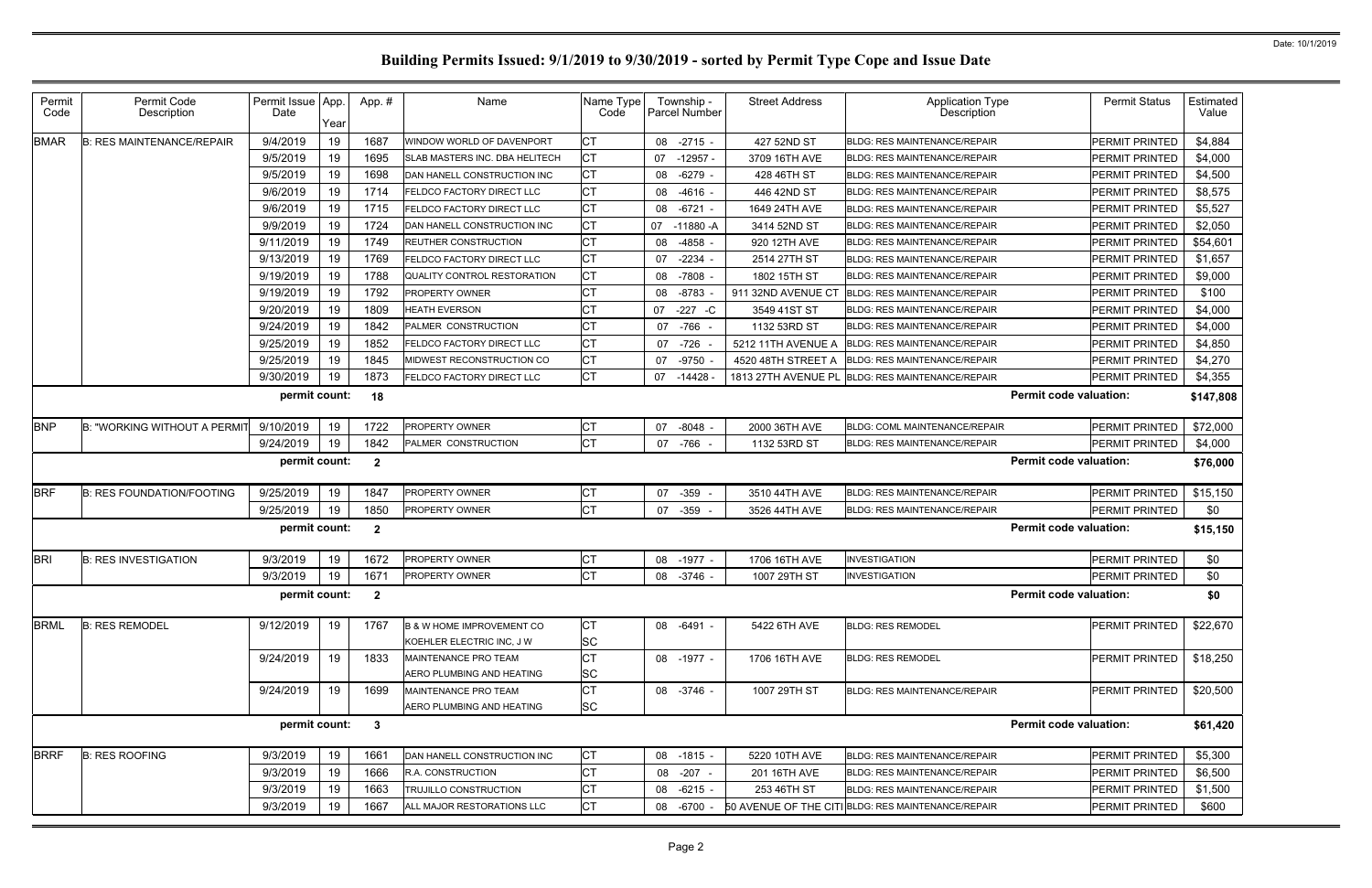| Permit<br>Code | Permit Code<br>Description          | Permit Issue App<br>Date | Year | App.#          | Name                                                              | Name Type<br>Code |    | Township -<br><b>Parcel Number</b> | <b>Street Address</b> | <b>Application Type</b><br>Description             |                               | <b>Permit Status</b>  | Estimated<br>Value |
|----------------|-------------------------------------|--------------------------|------|----------------|-------------------------------------------------------------------|-------------------|----|------------------------------------|-----------------------|----------------------------------------------------|-------------------------------|-----------------------|--------------------|
| <b>BMAR</b>    | <b>B: RES MAINTENANCE/REPAIR</b>    | 9/4/2019                 | 19   | 1687           | WINDOW WORLD OF DAVENPORT                                         | CT                |    | 08 -2715                           | 427 52ND ST           | <b>BLDG: RES MAINTENANCE/REPAIR</b>                |                               | <b>PERMIT PRINTED</b> | \$4,884            |
|                |                                     | 9/5/2019                 | 19   | 1695           | SLAB MASTERS INC. DBA HELITECH                                    | IСТ               |    | 07 -12957 -                        | 3709 16TH AVE         | <b>BLDG: RES MAINTENANCE/REPAIR</b>                |                               | <b>PERMIT PRINTED</b> | \$4,000            |
|                |                                     | 9/5/2019                 | 19   | 1698           | DAN HANELL CONSTRUCTION INC                                       | <b>CT</b>         |    | 08 -6279                           | 428 46TH ST           | <b>BLDG: RES MAINTENANCE/REPAIR</b>                |                               | <b>PERMIT PRINTED</b> | \$4,500            |
|                |                                     | 9/6/2019                 | 19   | 1714           | FELDCO FACTORY DIRECT LLC                                         | Iст               |    | 08 -4616 -                         | 446 42ND ST           | <b>BLDG: RES MAINTENANCE/REPAIR</b>                |                               | <b>PERMIT PRINTED</b> | \$8,575            |
|                |                                     | 9/6/2019                 | 19   | 1715           | FELDCO FACTORY DIRECT LLC                                         | <b>CT</b>         |    | 08 -6721                           | 1649 24TH AVE         | <b>BLDG: RES MAINTENANCE/REPAIR</b>                |                               | <b>PERMIT PRINTED</b> | \$5,527            |
|                |                                     | 9/9/2019                 | 19   | 1724           | DAN HANELL CONSTRUCTION INC                                       | <b>CT</b>         |    | 07 -11880 -A                       | 3414 52ND ST          | <b>BLDG: RES MAINTENANCE/REPAIR</b>                |                               | <b>PERMIT PRINTED</b> | \$2,050            |
|                |                                     | 9/11/2019                | 19   | 1749           | <b>REUTHER CONSTRUCTION</b>                                       | <b>CT</b>         | 08 | -4858                              | 920 12TH AVE          | <b>BLDG: RES MAINTENANCE/REPAIR</b>                |                               | <b>PERMIT PRINTED</b> | \$54,601           |
|                |                                     | 9/13/2019                | 19   | 1769           | FELDCO FACTORY DIRECT LLC                                         | IСТ               |    | 07 -2234                           | 2514 27TH ST          | <b>BLDG: RES MAINTENANCE/REPAIR</b>                |                               | <b>PERMIT PRINTED</b> | \$1,657            |
|                |                                     | 9/19/2019                | 19   | 1788           | QUALITY CONTROL RESTORATION                                       | Iст               |    | 08 -7808                           | 1802 15TH ST          | <b>BLDG: RES MAINTENANCE/REPAIR</b>                |                               | <b>PERMIT PRINTED</b> | \$9,000            |
|                |                                     | 9/19/2019                | 19   | 1792           | PROPERTY OWNER                                                    | СT                |    | 08 -8783                           | 911 32ND AVENUE CT    | <b>BLDG: RES MAINTENANCE/REPAIR</b>                |                               | <b>PERMIT PRINTED</b> | \$100              |
|                |                                     | 9/20/2019                | 19   | 1809           | <b>HEATH EVERSON</b>                                              | СT                | 07 | $-227 - C$                         | 3549 41ST ST          | <b>BLDG: RES MAINTENANCE/REPAIR</b>                |                               | <b>PERMIT PRINTED</b> | \$4,000            |
|                |                                     | 9/24/2019                | 19   | 1842           | PALMER CONSTRUCTION                                               | <b>CT</b>         |    | 07 -766 -                          | 1132 53RD ST          | <b>BLDG: RES MAINTENANCE/REPAIR</b>                |                               | <b>PERMIT PRINTED</b> | \$4,000            |
|                |                                     | 9/25/2019                | 19   | 1852           | FELDCO FACTORY DIRECT LLC                                         | IСТ               |    | 07 -726                            | 5212 11TH AVENUE A    | <b>BLDG: RES MAINTENANCE/REPAIR</b>                |                               | PERMIT PRINTED        | \$4,850            |
|                |                                     | 9/25/2019                | 19   | 1845           | MIDWEST RECONSTRUCTION CO                                         | <b>CT</b>         |    | 07 -9750                           | 4520 48TH STREET A    | <b>BLDG: RES MAINTENANCE/REPAIR</b>                |                               | <b>PERMIT PRINTED</b> | \$4,270            |
|                |                                     | 9/30/2019                | 19   | 1873           | FELDCO FACTORY DIRECT LLC                                         | IСТ               |    | 07 -14428                          |                       | 1813 27TH AVENUE PL BLDG: RES MAINTENANCE/REPAIR   |                               | <b>PERMIT PRINTED</b> | \$4,355            |
|                |                                     | permit count:            |      | 18             |                                                                   |                   |    |                                    |                       |                                                    | <b>Permit code valuation:</b> |                       | \$147,808          |
| <b>BNP</b>     | <b>B: "WORKING WITHOUT A PERMI"</b> | 9/10/2019                | 19   | 1722           | PROPERTY OWNER                                                    | IСТ               |    | 07 -8048                           | 2000 36TH AVE         | <b>BLDG: COML MAINTENANCE/REPAIR</b>               |                               | PERMIT PRINTED        | \$72,000           |
|                |                                     | 9/24/2019                | 19   | 1842           | PALMER CONSTRUCTION                                               | Iст               |    | 07 -766 -                          | 1132 53RD ST          | <b>BLDG: RES MAINTENANCE/REPAIR</b>                |                               | PERMIT PRINTED        | \$4,000            |
|                |                                     | permit count:            |      | $\overline{2}$ |                                                                   |                   |    |                                    |                       |                                                    | <b>Permit code valuation:</b> |                       | \$76,000           |
| <b>BRF</b>     | <b>B: RES FOUNDATION/FOOTING</b>    | 9/25/2019                | 19   | 1847           | PROPERTY OWNER                                                    | CT                | 07 | $-359 -$                           | 3510 44TH AVE         | <b>BLDG: RES MAINTENANCE/REPAIR</b>                |                               | PERMIT PRINTED        | \$15,150           |
|                |                                     | 9/25/2019                | 19   | 1850           | PROPERTY OWNER                                                    | <b>CT</b>         | 07 | $-359 -$                           | 3526 44TH AVE         | <b>BLDG: RES MAINTENANCE/REPAIR</b>                |                               | <b>PERMIT PRINTED</b> | \$0                |
|                |                                     | permit count:            |      | $\overline{2}$ |                                                                   |                   |    |                                    |                       |                                                    | <b>Permit code valuation:</b> |                       | \$15,150           |
| <b>BRI</b>     | <b>B: RES INVESTIGATION</b>         | 9/3/2019                 | 19   | 1672           | PROPERTY OWNER                                                    | СT                |    | 08 -1977                           | 1706 16TH AVE         | <b>INVESTIGATION</b>                               |                               | PERMIT PRINTED        | \$0                |
|                |                                     | 9/3/2019                 | 19   | 1671           | PROPERTY OWNER                                                    | <b>CT</b>         |    | 08 -3746                           | 1007 29TH ST          | <b>INVESTIGATION</b>                               |                               | PERMIT PRINTED        | \$0                |
|                |                                     | permit count: 2          |      |                |                                                                   |                   |    |                                    |                       |                                                    | <b>Permit code valuation:</b> |                       | \$0                |
| <b>BRML</b>    | <b>B: RES REMODEL</b>               | 9/12/2019                | 19   | 1767           | <b>B &amp; W HOME IMPROVEMENT CO</b><br>KOEHLER ELECTRIC INC, J W | IСТ<br><b>SC</b>  |    | 08 -6491 -                         | 5422 6TH AVE          | <b>BLDG: RES REMODEL</b>                           |                               | PERMIT PRINTED        | \$22,670           |
|                |                                     | 9/24/2019                | 19   | 1833           | MAINTENANCE PRO TEAM<br>AERO PLUMBING AND HEATING                 | Iст<br><b>SC</b>  |    | 08 -1977 -                         | 1706 16TH AVE         | <b>BLDG: RES REMODEL</b>                           |                               | PERMIT PRINTED        | \$18,250           |
|                |                                     | 9/24/2019                | 19   | 1699           | MAINTENANCE PRO TEAM<br>AERO PLUMBING AND HEATING                 | Iст<br><b>SC</b>  |    | 08 -3746 -                         | 1007 29TH ST          | BLDG: RES MAINTENANCE/REPAIR                       |                               | <b>PERMIT PRINTED</b> | \$20,500           |
|                |                                     | permit count:            |      | $\mathbf{3}$   |                                                                   |                   |    |                                    |                       |                                                    | <b>Permit code valuation:</b> |                       | \$61,420           |
| <b>BRRF</b>    | <b>B: RES ROOFING</b>               | 9/3/2019                 | 19   | 1661           | DAN HANELL CONSTRUCTION INC                                       | IСТ               |    | 08 -1815 -                         | 5220 10TH AVE         | <b>BLDG: RES MAINTENANCE/REPAIR</b>                |                               | PERMIT PRINTED        | \$5,300            |
|                |                                     | 9/3/2019                 | 19   | 1666           | R.A. CONSTRUCTION                                                 | Iст               |    | 08 -207 -                          | 201 16TH AVE          | <b>BLDG: RES MAINTENANCE/REPAIR</b>                |                               | PERMIT PRINTED        | \$6,500            |
|                |                                     | 9/3/2019                 | 19   | 1663           | TRUJILLO CONSTRUCTION                                             | IСТ               |    | 08 -6215 -                         | 253 46TH ST           | <b>BLDG: RES MAINTENANCE/REPAIR</b>                |                               | PERMIT PRINTED        | \$1,500            |
|                |                                     |                          |      |                |                                                                   |                   |    |                                    |                       |                                                    |                               |                       |                    |
|                |                                     | 9/3/2019                 | 19   | 1667           | ALL MAJOR RESTORATIONS LLC                                        | IСТ               |    | 08 -6700                           |                       | 50 AVENUE OF THE CITI BLDG: RES MAINTENANCE/REPAIR |                               | PERMIT PRINTED        | \$600              |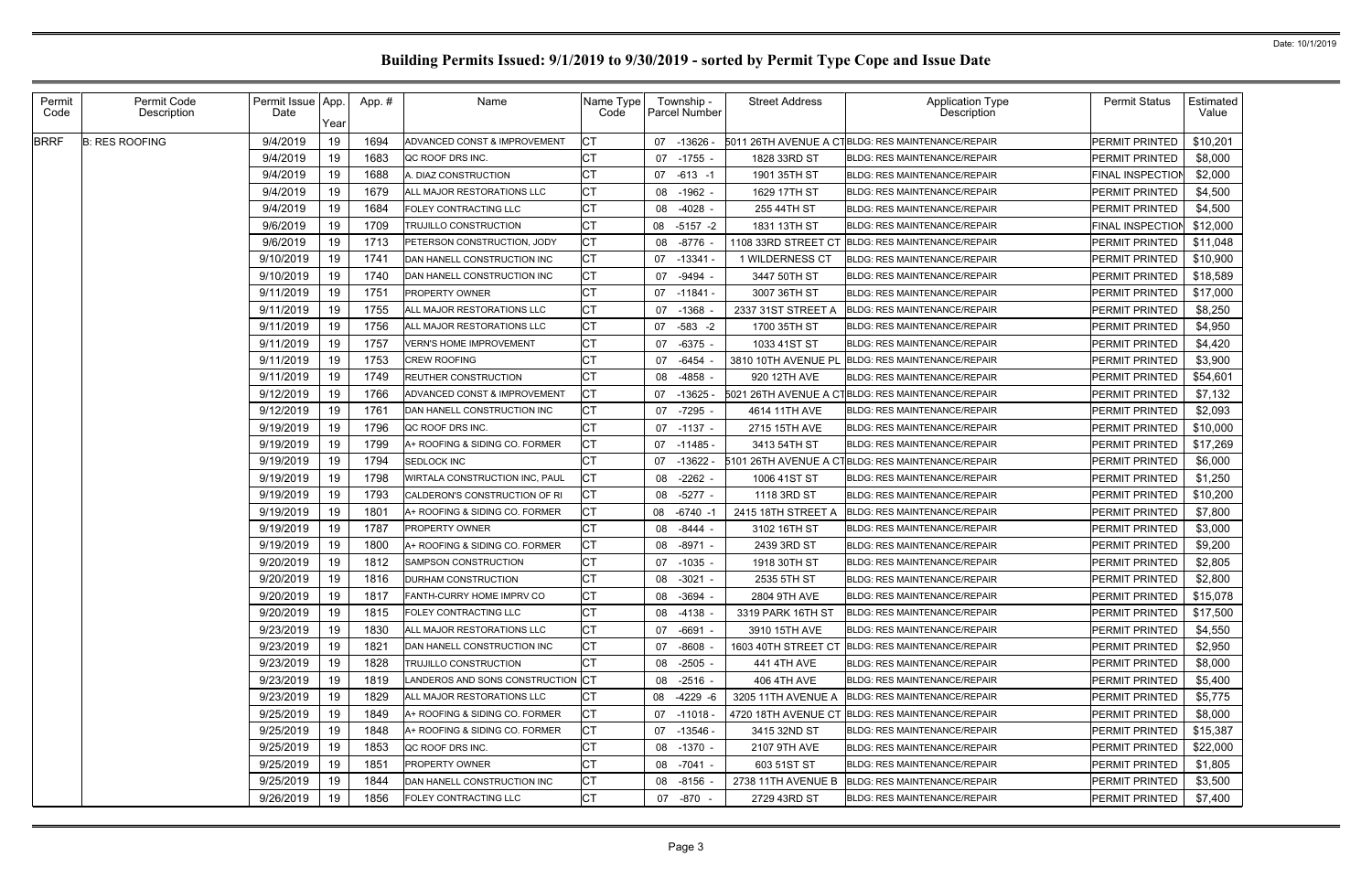| Permit<br>Code | Permit Code<br>Description | Permit Issue App.<br>Date | Year | App. # | Name                              | Name Type<br>Code |    | Township -<br>Parcel Number | <b>Street Address</b> | <b>Application Type</b><br><b>Description</b>     | <b>Permit Status</b>    | <b>Estimated</b><br>Value |
|----------------|----------------------------|---------------------------|------|--------|-----------------------------------|-------------------|----|-----------------------------|-----------------------|---------------------------------------------------|-------------------------|---------------------------|
| <b>BRRF</b>    | <b>B: RES ROOFING</b>      | 9/4/2019                  | 19   | 1694   | ADVANCED CONST & IMPROVEMENT      | <b>CT</b>         | 07 | $-13626$                    |                       | 5011 26TH AVENUE A CTBLDG: RES MAINTENANCE/REPAIR | PERMIT PRINTED          | \$10,201                  |
|                |                            | 9/4/2019                  | 19   | 1683   | QC ROOF DRS INC.                  | <b>CT</b>         | 07 | -1755                       | 1828 33RD ST          | <b>BLDG: RES MAINTENANCE/REPAIR</b>               | <b>PERMIT PRINTED</b>   | \$8,000                   |
|                |                            | 9/4/2019                  | 19   | 1688   | A. DIAZ CONSTRUCTION              | <b>CT</b>         | 07 | $-613 - 1$                  | 1901 35TH ST          | <b>BLDG: RES MAINTENANCE/REPAIR</b>               | <b>FINAL INSPECTION</b> | \$2,000                   |
|                |                            | 9/4/2019                  | 19   | 1679   | ALL MAJOR RESTORATIONS LLC        | <b>CT</b>         | 08 | $-1962$                     | 1629 17TH ST          | <b>BLDG: RES MAINTENANCE/REPAIR</b>               | PERMIT PRINTED          | \$4,500                   |
|                |                            | 9/4/2019                  | 19   | 1684   | <b>FOLEY CONTRACTING LLC</b>      | <b>CT</b>         | 08 | -4028                       | 255 44TH ST           | <b>BLDG: RES MAINTENANCE/REPAIR</b>               | PERMIT PRINTED          | \$4,500                   |
|                |                            | 9/6/2019                  | 19   | 1709   | TRUJILLO CONSTRUCTION             | <b>CT</b>         | 08 | $-5157 - 2$                 | 1831 13TH ST          | <b>BLDG: RES MAINTENANCE/REPAIR</b>               | <b>FINAL INSPECTION</b> | \$12,000                  |
|                |                            | 9/6/2019                  | 19   | 1713   | PETERSON CONSTRUCTION, JODY       | <b>CT</b>         | 08 | -8776                       | 1108 33RD STREET CT   | <b>BLDG: RES MAINTENANCE/REPAIR</b>               | <b>PERMIT PRINTED</b>   | \$11,048                  |
|                |                            | 9/10/2019                 | 19   | 1741   | DAN HANELL CONSTRUCTION INC       | <b>CT</b>         | 07 | $-13341$                    | 1 WILDERNESS CT       | <b>BLDG: RES MAINTENANCE/REPAIR</b>               | <b>PERMIT PRINTED</b>   | \$10,900                  |
|                |                            | 9/10/2019                 | 19   | 1740   | DAN HANELL CONSTRUCTION INC       | <b>CT</b>         | 07 | -9494 -                     | 3447 50TH ST          | <b>BLDG: RES MAINTENANCE/REPAIR</b>               | <b>PERMIT PRINTED</b>   | \$18,589                  |
|                |                            | 9/11/2019                 | 19   | 1751   | <b>PROPERTY OWNER</b>             | <b>CT</b>         |    | 07 -11841 -                 | 3007 36TH ST          | <b>BLDG: RES MAINTENANCE/REPAIR</b>               | PERMIT PRINTED          | \$17,000                  |
|                |                            | 9/11/2019                 | 19   | 1755   | ALL MAJOR RESTORATIONS LLC        | <b>CT</b>         |    | 07 -1368                    | 2337 31ST STREET A    | <b>BLDG: RES MAINTENANCE/REPAIR</b>               | <b>PERMIT PRINTED</b>   | \$8,250                   |
|                |                            | 9/11/2019                 | 19   | 1756   | ALL MAJOR RESTORATIONS LLC        | <b>CT</b>         | 07 | $-583 - 2$                  | 1700 35TH ST          | <b>BLDG: RES MAINTENANCE/REPAIR</b>               | <b>PERMIT PRINTED</b>   | \$4,950                   |
|                |                            | 9/11/2019                 | 19   | 1757   | <b>VERN'S HOME IMPROVEMENT</b>    | <b>CT</b>         | 07 | -6375 -                     | 1033 41ST ST          | <b>BLDG: RES MAINTENANCE/REPAIR</b>               | <b>PERMIT PRINTED</b>   | \$4,420                   |
|                |                            | 9/11/2019                 | 19   | 1753   | <b>CREW ROOFING</b>               | <b>CT</b>         | 07 | -6454                       | 3810 10TH AVENUE PL   | <b>BLDG: RES MAINTENANCE/REPAIR</b>               | <b>PERMIT PRINTED</b>   | \$3,900                   |
|                |                            | 9/11/2019                 | 19   | 1749   | <b>REUTHER CONSTRUCTION</b>       | <b>CT</b>         | 08 | -4858                       | 920 12TH AVE          | BLDG: RES MAINTENANCE/REPAIR                      | PERMIT PRINTED          | \$54,601                  |
|                |                            | 9/12/2019                 | 19   | 1766   | ADVANCED CONST & IMPROVEMENT      | <b>CT</b>         | 07 | -13625                      |                       | 5021 26TH AVENUE A CTBLDG: RES MAINTENANCE/REPAIR | <b>PERMIT PRINTED</b>   | \$7,132                   |
|                |                            | 9/12/2019                 | 19   | 1761   | DAN HANELL CONSTRUCTION INC       | <b>CT</b>         |    | 07 -7295                    | 4614 11TH AVE         | <b>BLDG: RES MAINTENANCE/REPAIR</b>               | <b>PERMIT PRINTED</b>   | \$2,093                   |
|                |                            | 9/19/2019                 | 19   | 1796   | QC ROOF DRS INC.                  | <b>CT</b>         |    | 07 -1137 -                  | 2715 15TH AVE         | <b>BLDG: RES MAINTENANCE/REPAIR</b>               | PERMIT PRINTED          | \$10,000                  |
|                |                            | 9/19/2019                 | 19   | 1799   | A+ ROOFING & SIDING CO. FORMER    | <b>CT</b>         |    | 07 -11485 -                 | 3413 54TH ST          | <b>BLDG: RES MAINTENANCE/REPAIR</b>               | PERMIT PRINTED          | \$17,269                  |
|                |                            | 9/19/2019                 | 19   | 1794   | <b>SEDLOCK INC</b>                | <b>CT</b>         | 07 | $-13622$                    |                       | 5101 26TH AVENUE A CTBLDG: RES MAINTENANCE/REPAIR | <b>PERMIT PRINTED</b>   | \$6,000                   |
|                |                            | 9/19/2019                 | 19   | 1798   | WIRTALA CONSTRUCTION INC, PAUL    | <b>CT</b>         | 08 | $-2262 -$                   | 1006 41ST ST          | BLDG: RES MAINTENANCE/REPAIR                      | <b>PERMIT PRINTED</b>   | \$1,250                   |
|                |                            | 9/19/2019                 | 19   | 1793   | CALDERON'S CONSTRUCTION OF RI     | <b>CT</b>         | 08 | $-5277$                     | 1118 3RD ST           | <b>BLDG: RES MAINTENANCE/REPAIR</b>               | PERMIT PRINTED          | \$10,200                  |
|                |                            | 9/19/2019                 | 19   | 1801   | A+ ROOFING & SIDING CO. FORMER    | <b>CT</b>         | 08 | -6740 -                     | 2415 18TH STREET A    | <b>BLDG: RES MAINTENANCE/REPAIR</b>               | PERMIT PRINTED          | \$7,800                   |
|                |                            | 9/19/2019                 | 19   | 1787   | <b>PROPERTY OWNER</b>             | <b>CT</b>         | 08 | -8444                       | 3102 16TH ST          | <b>BLDG: RES MAINTENANCE/REPAIR</b>               | <b>PERMIT PRINTED</b>   | \$3,000                   |
|                |                            | 9/19/2019                 | 19   | 1800   | A+ ROOFING & SIDING CO. FORMER    | <b>CT</b>         | 08 | -8971 -                     | 2439 3RD ST           | <b>BLDG: RES MAINTENANCE/REPAIR</b>               | PERMIT PRINTED          | \$9,200                   |
|                |                            | 9/20/2019                 | 19   | 1812   | SAMPSON CONSTRUCTION              | <b>CT</b>         | 07 | -1035                       | 1918 30TH ST          | <b>BLDG: RES MAINTENANCE/REPAIR</b>               | PERMIT PRINTED          | \$2,805                   |
|                |                            | 9/20/2019                 | 19   | 1816   | DURHAM CONSTRUCTION               | <b>CT</b>         |    | 08 -3021 -                  | 2535 5TH ST           | <b>BLDG: RES MAINTENANCE/REPAIR</b>               | PERMIT PRINTED          | \$2,800                   |
|                |                            | 9/20/2019                 | 19   | 1817   | <b>FANTH-CURRY HOME IMPRV CO</b>  | <b>CT</b>         |    | 08 -3694 -                  | 2804 9TH AVE          | <b>BLDG: RES MAINTENANCE/REPAIR</b>               | PERMIT PRINTED          | \$15,078                  |
|                |                            | 9/20/2019                 | 19   | 1815   | <b>FOLEY CONTRACTING LLC</b>      | <b>CT</b>         |    | 08 -4138                    | 3319 PARK 16TH ST     | <b>BLDG: RES MAINTENANCE/REPAIR</b>               | PERMIT PRINTED          | \$17,500                  |
|                |                            | 9/23/2019                 | 19   | 1830   | ALL MAJOR RESTORATIONS LLC        | <b>CT</b>         |    | 07 -6691 -                  | 3910 15TH AVE         | <b>BLDG: RES MAINTENANCE/REPAIR</b>               | <b>PERMIT PRINTED</b>   | \$4,550                   |
|                |                            | 9/23/2019                 | 19   | 1821   | DAN HANELL CONSTRUCTION INC       | <b>CT</b>         | 07 | -8608                       |                       | 1603 40TH STREET CT BLDG: RES MAINTENANCE/REPAIR  | <b>PERMIT PRINTED</b>   | \$2,950                   |
|                |                            | 9/23/2019                 | 19   | 1828   | <b>TRUJILLO CONSTRUCTION</b>      | <b>CT</b>         | 08 | -2505 -                     | 441 4TH AVE           | <b>BLDG: RES MAINTENANCE/REPAIR</b>               | <b>PERMIT PRINTED</b>   | \$8,000                   |
|                |                            | 9/23/2019                 | 19   | 1819   | LANDEROS AND SONS CONSTRUCTION CT |                   |    | 08 -2516 -                  | 406 4TH AVE           | BLDG: RES MAINTENANCE/REPAIR                      | <b>PERMIT PRINTED</b>   | \$5,400                   |
|                |                            | 9/23/2019                 | 19   | 1829   | ALL MAJOR RESTORATIONS LLC        | <b>CT</b>         | 08 | -4229 -6                    | 3205 11TH AVENUE A    | <b>BLDG: RES MAINTENANCE/REPAIR</b>               | <b>PERMIT PRINTED</b>   | \$5,775                   |
|                |                            | 9/25/2019                 | 19   | 1849   | A+ ROOFING & SIDING CO. FORMER    | <b>CT</b>         |    | $07 - 11018$                |                       | 4720 18TH AVENUE CT BLDG: RES MAINTENANCE/REPAIR  | <b>PERMIT PRINTED</b>   | \$8,000                   |
|                |                            | 9/25/2019                 | 19   | 1848   | A+ ROOFING & SIDING CO. FORMER    | <b>CT</b>         |    | 07 -13546 -                 | 3415 32ND ST          | <b>BLDG: RES MAINTENANCE/REPAIR</b>               | <b>PERMIT PRINTED</b>   | \$15,387                  |
|                |                            | 9/25/2019                 | 19   | 1853   | QC ROOF DRS INC.                  | <b>CT</b>         |    | 08 -1370 -                  | 2107 9TH AVE          | <b>BLDG: RES MAINTENANCE/REPAIR</b>               | <b>PERMIT PRINTED</b>   | \$22,000                  |
|                |                            | 9/25/2019                 | 19   | 1851   | <b>PROPERTY OWNER</b>             | <b>CT</b>         |    | 08 -7041 -                  | 603 51ST ST           | <b>BLDG: RES MAINTENANCE/REPAIR</b>               | <b>PERMIT PRINTED</b>   | \$1,805                   |
|                |                            | 9/25/2019                 | 19   | 1844   | DAN HANELL CONSTRUCTION INC       | <b>CT</b>         |    | 08 -8156                    | 2738 11TH AVENUE B    | <b>BLDG: RES MAINTENANCE/REPAIR</b>               | PERMIT PRINTED          | \$3,500                   |
|                |                            | 9/26/2019                 | 19   | 1856   | <b>FOLEY CONTRACTING LLC</b>      | <b>CT</b>         |    | 07 -870 -                   | 2729 43RD ST          | <b>BLDG: RES MAINTENANCE/REPAIR</b>               | PERMIT PRINTED          | \$7,400                   |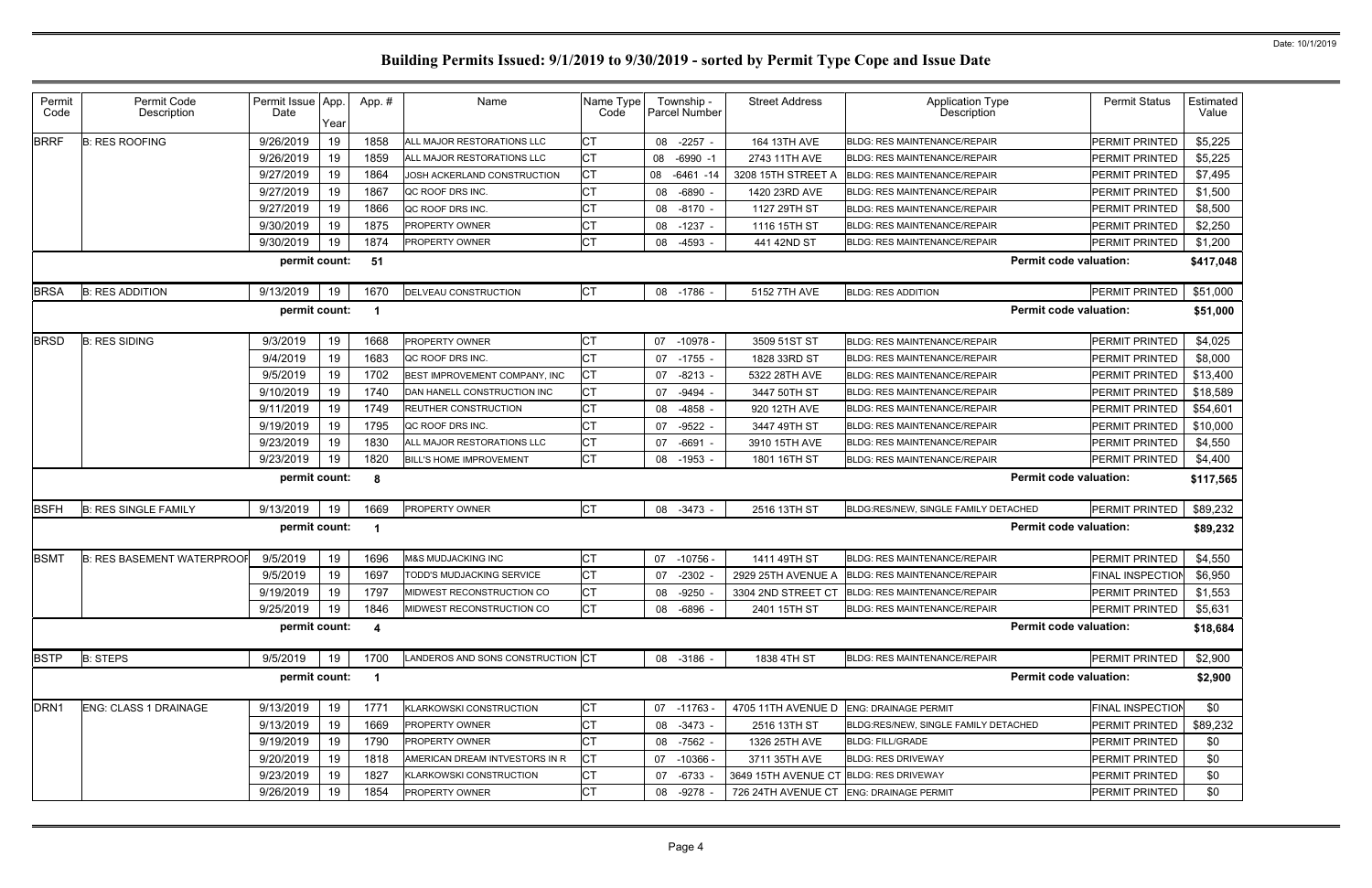| Permit<br>Code   | Permit Code<br>Description        | Permit Issue App.<br>Date | Year | App.#                   | Name                              | Name Type<br>Code | Township -<br><b>Parcel Number</b> | <b>Street Address</b>                  | <b>Application Type</b><br><b>Description</b>   | <b>Permit Status</b>    | <b>Estimated</b><br>Value |
|------------------|-----------------------------------|---------------------------|------|-------------------------|-----------------------------------|-------------------|------------------------------------|----------------------------------------|-------------------------------------------------|-------------------------|---------------------------|
| <b>BRRF</b>      | <b>B: RES ROOFING</b>             | 9/26/2019                 | 19   | 1858                    | ALL MAJOR RESTORATIONS LLC        | СT                | 08 -2257                           | 164 13TH AVE                           | <b>BLDG: RES MAINTENANCE/REPAIR</b>             | <b>PERMIT PRINTED</b>   | \$5,225                   |
|                  |                                   | 9/26/2019                 | 19   | 1859                    | ALL MAJOR RESTORATIONS LLC        | <b>CT</b>         | 08 -6990 -1                        | 2743 11TH AVE                          | <b>BLDG: RES MAINTENANCE/REPAIR</b>             | <b>PERMIT PRINTED</b>   | \$5,225                   |
|                  |                                   | 9/27/2019                 | 19   | 1864                    | JOSH ACKERLAND CONSTRUCTION       | <b>CT</b>         | 08<br>$-6461 - 14$                 | 3208 15TH STREET A                     | <b>BLDG: RES MAINTENANCE/REPAIR</b>             | PERMIT PRINTED          | \$7,495                   |
|                  |                                   | 9/27/2019                 | 19   | 1867                    | QC ROOF DRS INC.                  | СT                | 08 -6890                           | 1420 23RD AVE                          | <b>BLDG: RES MAINTENANCE/REPAIR</b>             | PERMIT PRINTED          | \$1,500                   |
|                  |                                   | 9/27/2019                 | 19   | 1866                    | QC ROOF DRS INC.                  | <b>CT</b>         | 08 -8170                           | 1127 29TH ST                           | <b>BLDG: RES MAINTENANCE/REPAIR</b>             | <b>PERMIT PRINTED</b>   | \$8,500                   |
|                  |                                   | 9/30/2019                 | 19   | 1875                    | PROPERTY OWNER                    | СT                | 08 -1237                           | 1116 15TH ST                           | <b>BLDG: RES MAINTENANCE/REPAIR</b>             | <b>PERMIT PRINTED</b>   | \$2,250                   |
|                  |                                   | 9/30/2019                 | 19   | 1874                    | <b>PROPERTY OWNER</b>             | <b>CT</b>         | 08 -4593                           | 441 42ND ST                            | BLDG: RES MAINTENANCE/REPAIR                    | PERMIT PRINTED          | \$1,200                   |
|                  |                                   | permit count:             |      | 51                      |                                   |                   |                                    |                                        | <b>Permit code valuation:</b>                   |                         | \$417,048                 |
| <b>BRSA</b>      | <b>B: RES ADDITION</b>            | 9/13/2019                 | 19   | 1670                    | DELVEAU CONSTRUCTION              | <b>CT</b>         | 08 -1786 -                         | 5152 7TH AVE                           | <b>BLDG: RES ADDITION</b>                       | PERMIT PRINTED          | \$51,000                  |
|                  |                                   | permit count:             |      |                         |                                   |                   |                                    |                                        | <b>Permit code valuation:</b>                   |                         | \$51,000                  |
| <b>BRSD</b>      | <b>B: RES SIDING</b>              | 9/3/2019                  | 19   | 1668                    | <b>PROPERTY OWNER</b>             | <b>CT</b>         | 07 -10978                          | 3509 51ST ST                           | <b>BLDG: RES MAINTENANCE/REPAIR</b>             | PERMIT PRINTED          | \$4,025                   |
|                  |                                   | 9/4/2019                  | 19   | 1683                    | QC ROOF DRS INC.                  | <b>CT</b>         | 07 -1755                           | 1828 33RD ST                           | <b>BLDG: RES MAINTENANCE/REPAIR</b>             | PERMIT PRINTED          | \$8,000                   |
|                  |                                   | 9/5/2019                  | 19   | 1702                    | BEST IMPROVEMENT COMPANY, INC     | <b>CT</b>         | 07 -8213                           | 5322 28TH AVE                          | <b>BLDG: RES MAINTENANCE/REPAIR</b>             | PERMIT PRINTED          | \$13,400                  |
|                  |                                   | 9/10/2019                 | 19   | 1740                    | DAN HANELL CONSTRUCTION INC       | СT                | 07 -9494                           | 3447 50TH ST                           | <b>BLDG: RES MAINTENANCE/REPAIR</b>             | PERMIT PRINTED          | \$18,589                  |
|                  |                                   | 9/11/2019                 | 19   | 1749                    | <b>REUTHER CONSTRUCTION</b>       | <b>CT</b>         | 08<br>-4858                        | 920 12TH AVE                           | <b>BLDG: RES MAINTENANCE/REPAIR</b>             | PERMIT PRINTED          | \$54,601                  |
|                  |                                   | 9/19/2019                 | 19   | 1795                    | QC ROOF DRS INC.                  | СT                | -9522<br>07                        | 3447 49TH ST                           | <b>BLDG: RES MAINTENANCE/REPAIR</b>             | PERMIT PRINTED          | \$10,000                  |
|                  |                                   | 9/23/2019                 | 19   | 1830                    | ALL MAJOR RESTORATIONS LLC        | <b>CT</b>         | 07 -6691                           | 3910 15TH AVE                          | <b>BLDG: RES MAINTENANCE/REPAIR</b>             | PERMIT PRINTED          | \$4,550                   |
|                  |                                   | 9/23/2019                 | 19   | 1820                    | <b>BILL'S HOME IMPROVEMENT</b>    | <b>CT</b>         | 08 -1953 -                         | 1801 16TH ST                           | BLDG: RES MAINTENANCE/REPAIR                    | <b>PERMIT PRINTED</b>   | \$4,400                   |
|                  |                                   | permit count:             |      | 8                       |                                   |                   |                                    |                                        | <b>Permit code valuation:</b>                   |                         | \$117,565                 |
| <b>BSFH</b>      | <b>B: RES SINGLE FAMILY</b>       | 9/13/2019                 | 19   | 1669                    | PROPERTY OWNER                    | <b>CT</b>         | 08 -3473                           | 2516 13TH ST                           | BLDG:RES/NEW, SINGLE FAMILY DETACHED            | PERMIT PRINTED          | \$89,232                  |
|                  |                                   | permit count:             |      | -1                      |                                   |                   |                                    |                                        | <b>Permit code valuation:</b>                   |                         | \$89,232                  |
| <b>BSMT</b>      | <b>B: RES BASEMENT WATERPROOF</b> | 9/5/2019                  | 19   | 1696                    | <b>M&amp;S MUDJACKING INC</b>     | СT                | 07<br>$-10756$                     | 1411 49TH ST                           | <b>BLDG: RES MAINTENANCE/REPAIR</b>             | <b>PERMIT PRINTED</b>   | \$4,550                   |
|                  |                                   | 9/5/2019                  | 19   | 1697                    | <b>TODD'S MUDJACKING SERVICE</b>  | СT                | 07 -2302                           | 2929 25TH AVENUE A                     | <b>BLDG: RES MAINTENANCE/REPAIR</b>             | FINAL INSPECTION        | \$6,950                   |
|                  |                                   | 9/19/2019                 | 19   | 1797                    | MIDWEST RECONSTRUCTION CO         | Iст               | 08 -9250                           |                                        | 3304 2ND STREET CT BLDG: RES MAINTENANCE/REPAIR | PERMIT PRINTED          | \$1,553                   |
|                  |                                   | 9/25/2019                 | 19   | 1846                    | MIDWEST RECONSTRUCTION CO         | <b>CT</b>         | 08 -6896 -                         | 2401 15TH ST                           | <b>BLDG: RES MAINTENANCE/REPAIR</b>             | <b>PERMIT PRINTED</b>   | \$5,631                   |
|                  |                                   | permit count:             |      | $\overline{\mathbf{4}}$ |                                   |                   |                                    |                                        | <b>Permit code valuation:</b>                   |                         | \$18,684                  |
| <b>BSTP</b>      | <b>B: STEPS</b>                   | 9/5/2019                  | 19   | 1700                    | LANDEROS AND SONS CONSTRUCTION CT |                   | 08 -3186 -                         | 1838 4TH ST                            | BLDG: RES MAINTENANCE/REPAIR                    | <b>PERMIT PRINTED</b>   | \$2,900                   |
|                  |                                   | permit count:             |      | -1                      |                                   |                   |                                    |                                        | <b>Permit code valuation:</b>                   |                         | \$2,900                   |
| DRN <sub>1</sub> | <b>ENG: CLASS 1 DRAINAGE</b>      | 9/13/2019                 | 19   | 1771                    | KLARKOWSKI CONSTRUCTION           | СT                | 07 -11763                          | 4705 11TH AVENUE D                     | <b>ENG: DRAINAGE PERMIT</b>                     | <b>FINAL INSPECTION</b> | \$0                       |
|                  |                                   | 9/13/2019                 | 19   | 1669                    | <b>PROPERTY OWNER</b>             | <b>CT</b>         | 08 -3473 -                         | 2516 13TH ST                           | BLDG:RES/NEW, SINGLE FAMILY DETACHED            | PERMIT PRINTED          | \$89,232                  |
|                  |                                   | 9/19/2019                 | 19   | 1790                    | <b>PROPERTY OWNER</b>             | СT                | 08 -7562 -                         | 1326 25TH AVE                          | <b>BLDG: FILL/GRADE</b>                         | <b>PERMIT PRINTED</b>   | \$0                       |
|                  |                                   | 9/20/2019                 | 19   | 1818                    | AMERICAN DREAM INTVESTORS IN R    | Iст               | 07 -10366 -                        | 3711 35TH AVE                          | <b>BLDG: RES DRIVEWAY</b>                       | PERMIT PRINTED          | \$0                       |
|                  |                                   | 9/23/2019                 | 19   | 1827                    | KLARKOWSKI CONSTRUCTION           | <b>CT</b>         | 07 -6733                           | 3649 15TH AVENUE CT BLDG: RES DRIVEWAY |                                                 | PERMIT PRINTED          | \$0                       |
|                  |                                   | 9/26/2019                 | 19   | 1854                    | <b>PROPERTY OWNER</b>             | <b>CT</b>         | 08 -9278                           | 726 24TH AVENUE CT                     | <b>ENG: DRAINAGE PERMIT</b>                     | PERMIT PRINTED          | \$0                       |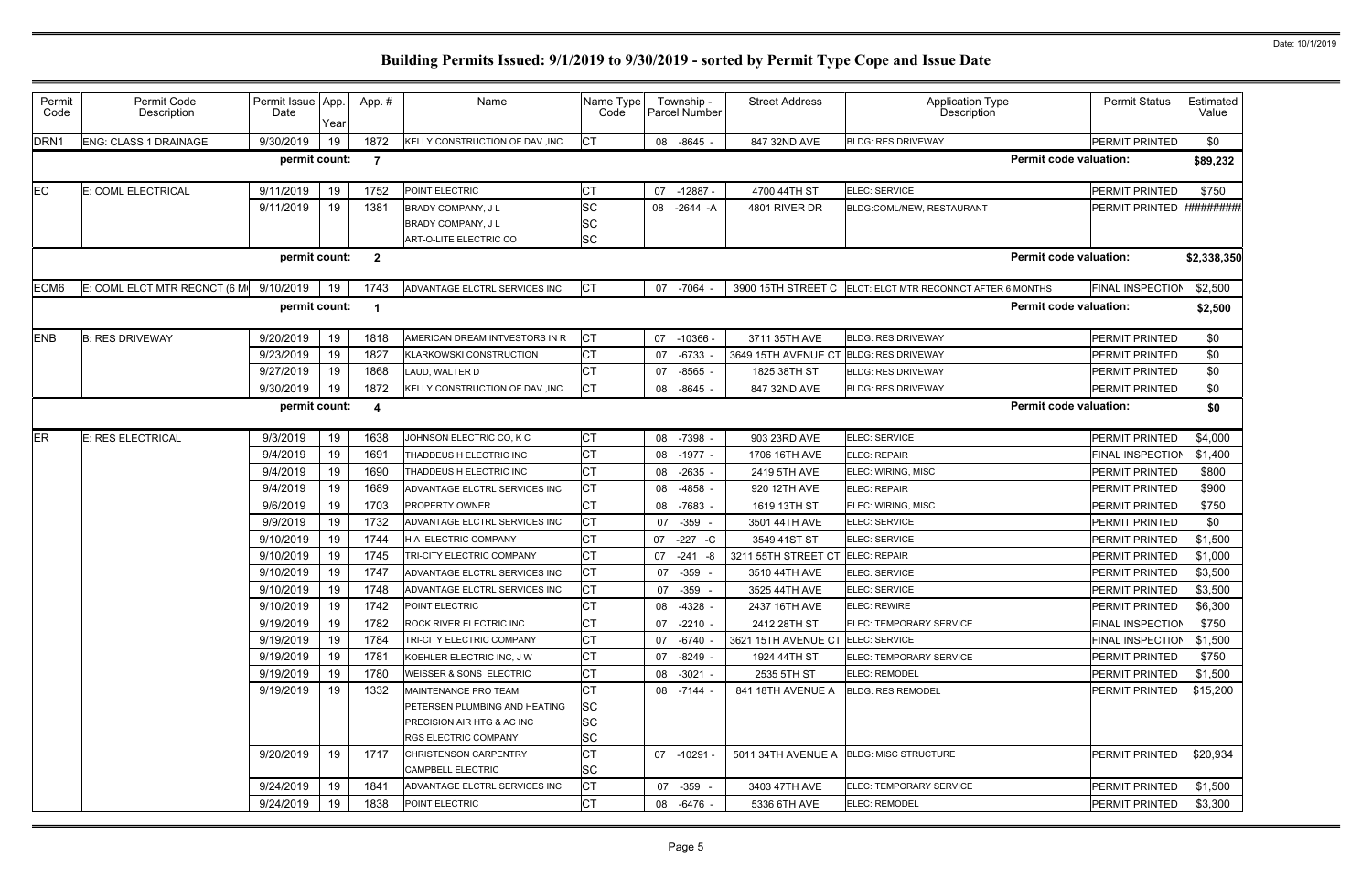| Permit<br>Code | Permit Code<br>Description   | Permit Issue App.<br>Date | Year | App.#          | Name                            | Name Type<br>Code |    | Township -<br>Parcel Number | <b>Street Address</b>                   | <b>Application Type</b><br>Description | <b>Permit Status</b>    | Estimated<br>Value |
|----------------|------------------------------|---------------------------|------|----------------|---------------------------------|-------------------|----|-----------------------------|-----------------------------------------|----------------------------------------|-------------------------|--------------------|
| DRN1           | ENG: CLASS 1 DRAINAGE        | 9/30/2019                 | 19   | 1872           | KELLY CONSTRUCTION OF DAV., INC | <b>CT</b>         |    | 08 -8645                    | 847 32ND AVE                            | <b>BLDG: RES DRIVEWAY</b>              | PERMIT PRINTED          | \$0                |
|                |                              | permit count:             |      | -7             |                                 |                   |    |                             |                                         | <b>Permit code valuation:</b>          |                         | \$89,232           |
| EС             | E: COML ELECTRICAL           | 9/11/2019                 | 19   | 1752           | POINT ELECTRIC                  | <b>CT</b>         |    | 07 -12887 -                 | 4700 44TH ST                            | ELEC: SERVICE                          | PERMIT PRINTED          | \$750              |
|                |                              | 9/11/2019                 | 19   | 1381           | <b>BRADY COMPANY, JL</b>        | <b>SC</b>         |    | 08 -2644 -A                 | 4801 RIVER DR                           | BLDG:COML/NEW, RESTAURANT              | PERMIT PRINTED          | #########          |
|                |                              |                           |      |                | BRADY COMPANY, JL               | <b>SC</b>         |    |                             |                                         |                                        |                         |                    |
|                |                              |                           |      |                | ART-O-LITE ELECTRIC CO          | <b>SC</b>         |    |                             |                                         |                                        |                         |                    |
|                |                              | permit count:             |      | $\overline{2}$ |                                 |                   |    |                             |                                         | <b>Permit code valuation:</b>          |                         | \$2,338,350        |
| ECM6           | E: COML ELCT MTR RECNCT (6 M | 9/10/2019                 | 19   | 1743           | ADVANTAGE ELCTRL SERVICES INC   | <b>CT</b>         |    | 07 -7064                    | 3900 15TH STREET C                      | ELCT: ELCT MTR RECONNCT AFTER 6 MONTHS | <b>FINAL INSPECTION</b> | \$2,500            |
|                |                              | permit count:             |      | -1             |                                 |                   |    |                             |                                         | <b>Permit code valuation:</b>          |                         | \$2,500            |
| <b>ENB</b>     | <b>B: RES DRIVEWAY</b>       | 9/20/2019                 | 19   | 1818           | AMERICAN DREAM INTVESTORS IN R  | <b>CT</b>         |    | 07 -10366                   | 3711 35TH AVE                           | <b>BLDG: RES DRIVEWAY</b>              | PERMIT PRINTED          | \$0                |
|                |                              | 9/23/2019                 | 19   | 1827           | <b>KLARKOWSKI CONSTRUCTION</b>  | <b>CT</b>         | 07 | -6733                       | 3649 15TH AVENUE CT                     | <b>BLDG: RES DRIVEWAY</b>              | <b>PERMIT PRINTED</b>   | \$0                |
|                |                              | 9/27/2019                 | 19   | 1868           | LAUD, WALTER D                  | <b>CT</b>         | 07 | -8565                       | 1825 38TH ST                            | <b>BLDG: RES DRIVEWAY</b>              | <b>PERMIT PRINTED</b>   | \$0                |
|                |                              | 9/30/2019                 | 19   | 1872           | KELLY CONSTRUCTION OF DAV., INC | <b>CT</b>         | 08 | $-8645 -$                   | 847 32ND AVE                            | <b>BLDG: RES DRIVEWAY</b>              | PERMIT PRINTED          | \$0                |
|                |                              | permit count:             |      | -4             |                                 |                   |    |                             |                                         | <b>Permit code valuation:</b>          |                         | \$0                |
| ER             | <b>E: RES ELECTRICAL</b>     | 9/3/2019                  | 19   | 1638           | JOHNSON ELECTRIC CO, K C        | <b>CT</b>         |    | 08 -7398                    | 903 23RD AVE                            | ELEC: SERVICE                          | <b>PERMIT PRINTED</b>   | \$4,000            |
|                |                              | 9/4/2019                  | 19   | 1691           | THADDEUS H ELECTRIC INC         | <b>CT</b>         |    | 08 -1977 -                  | 1706 16TH AVE                           | <b>ELEC: REPAIR</b>                    | <b>FINAL INSPECTION</b> | \$1,400            |
|                |                              | 9/4/2019                  | 19   | 1690           | THADDEUS H ELECTRIC INC         | <b>CT</b>         | 08 | -2635                       | 2419 5TH AVE                            | ELEC: WIRING, MISC                     | <b>PERMIT PRINTED</b>   | \$800              |
|                |                              | 9/4/2019                  | 19   | 1689           | ADVANTAGE ELCTRL SERVICES INC   | <b>CT</b>         |    | 08 -4858 -                  | 920 12TH AVE                            | ELEC: REPAIR                           | <b>PERMIT PRINTED</b>   | \$900              |
|                |                              | 9/6/2019                  | 19   | 1703           | PROPERTY OWNER                  | Iст               |    | 08 -7683                    | 1619 13TH ST                            | ELEC: WIRING, MISC                     | <b>PERMIT PRINTED</b>   | \$750              |
|                |                              | 9/9/2019                  | 19   | 1732           | ADVANTAGE ELCTRL SERVICES INC   | <b>CT</b>         |    | 07 -359 -                   | 3501 44TH AVE                           | ELEC: SERVICE                          | <b>PERMIT PRINTED</b>   | \$0                |
|                |                              | 9/10/2019                 | -19  | 1744           | H A ELECTRIC COMPANY            | <b>CT</b>         | 07 | $-227$<br>-C                | 3549 41ST ST                            | ELEC: SERVICE                          | PERMIT PRINTED          | \$1,500            |
|                |                              | 9/10/2019                 | 19   | 1745           | TRI-CITY ELECTRIC COMPANY       | <b>CT</b>         |    | 07 -241 -8                  | 3211 55TH STREET CT                     | ELEC: REPAIR                           | PERMIT PRINTED          | \$1,000            |
|                |                              | 9/10/2019                 | 19   | 1747           | ADVANTAGE ELCTRL SERVICES INC   | <b>CT</b>         | 07 | -359                        | 3510 44TH AVE                           | ELEC: SERVICE                          | <b>PERMIT PRINTED</b>   | \$3,500            |
|                |                              | 9/10/2019                 | 19   | 1748           | ADVANTAGE ELCTRL SERVICES INC   | <b>CT</b>         |    | 07 -359                     | 3525 44TH AVE                           | ELEC: SERVICE                          | PERMIT PRINTED          | \$3,500            |
|                |                              | 9/10/2019                 | 19   | 1742           | <b>POINT ELECTRIC</b>           | <b>CT</b>         |    | 08 -4328 -                  | 2437 16TH AVE                           | <b>ELEC: REWIRE</b>                    | <b>PERMIT PRINTED</b>   | \$6,300            |
|                |                              | 9/19/2019                 | 19   | 1782           | ROCK RIVER ELECTRIC INC         | <b>CT</b>         |    | 07 -2210 -                  | 2412 28TH ST                            | ELEC: TEMPORARY SERVICE                | <b>FINAL INSPECTION</b> | \$750              |
|                |                              | 9/19/2019                 | 19   | 1784           | TRI-CITY ELECTRIC COMPANY       | <b>CT</b>         |    | 07 -6740 -                  | 3621 15TH AVENUE CT ELEC: SERVICE       |                                        | <b>FINAL INSPECTION</b> | \$1,500            |
|                |                              | 9/19/2019                 | 19   | 1781           | KOEHLER ELECTRIC INC. J W       | <b>CT</b>         |    | 07 -8249 -                  | 1924 44TH ST                            | ELEC: TEMPORARY SERVICE                | <b>PERMIT PRINTED</b>   | \$750              |
|                |                              | 9/19/2019                 | 19   | 1780           | WEISSER & SONS ELECTRIC         | <b>CT</b>         |    | 08 -3021 -                  | 2535 5TH ST                             | <b>ELEC: REMODEL</b>                   | PERMIT PRINTED          | \$1,500            |
|                |                              | 9/19/2019                 | 19   | 1332           | MAINTENANCE PRO TEAM            | <b>CT</b>         |    | 08 -7144 -                  | 841 18TH AVENUE A                       | <b>BLDG: RES REMODEL</b>               | <b>PERMIT PRINTED</b>   | \$15,200           |
|                |                              |                           |      |                | PETERSEN PLUMBING AND HEATING   | <b>SC</b>         |    |                             |                                         |                                        |                         |                    |
|                |                              |                           |      |                | PRECISION AIR HTG & AC INC      | <b>SC</b>         |    |                             |                                         |                                        |                         |                    |
|                |                              |                           |      |                | <b>RGS ELECTRIC COMPANY</b>     | <b>SC</b>         |    |                             |                                         |                                        |                         |                    |
|                |                              | 9/20/2019                 | 19   | 1717           | <b>CHRISTENSON CARPENTRY</b>    | <b>CT</b>         |    | 07 -10291 -                 | 5011 34TH AVENUE A BLDG: MISC STRUCTURE |                                        | <b>PERMIT PRINTED</b>   | \$20,934           |
|                |                              |                           |      |                | <b>CAMPBELL ELECTRIC</b>        | <b>SC</b>         |    |                             |                                         |                                        |                         |                    |
|                |                              | 9/24/2019                 | 19   | 1841           | ADVANTAGE ELCTRL SERVICES INC   | <b>CT</b>         |    | 07 -359 -                   | 3403 47TH AVE                           | <b>ELEC: TEMPORARY SERVICE</b>         | <b>PERMIT PRINTED</b>   | \$1,500            |
|                |                              | 9/24/2019                 | 19   | 1838           | POINT ELECTRIC                  | <b>CT</b>         |    | 08 -6476 -                  | 5336 6TH AVE                            | ELEC: REMODEL                          | <b>PERMIT PRINTED</b>   | \$3,300            |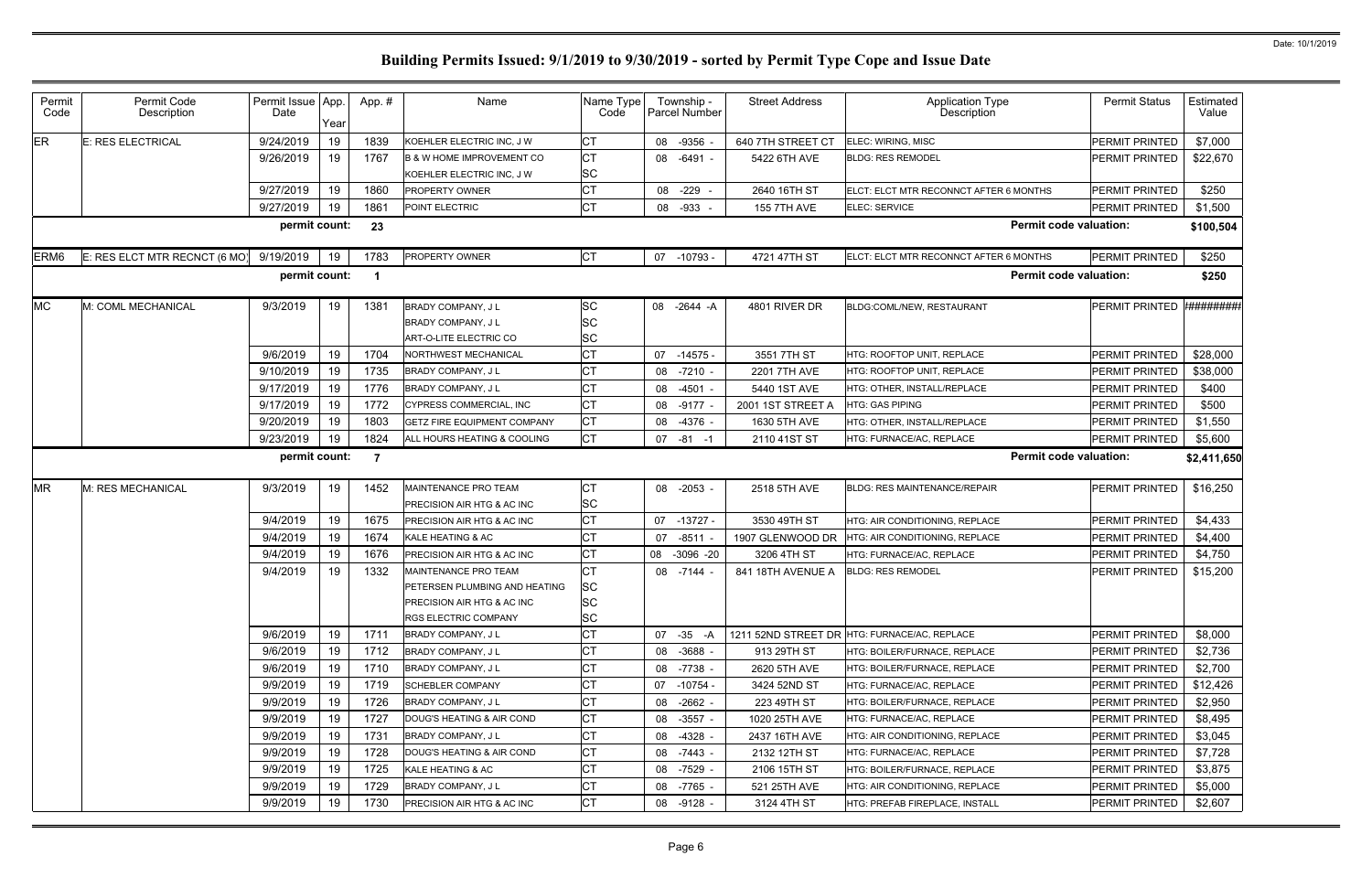| Permit<br>Code   | Permit Code<br>Description    | Permit Issue App.<br>Date | Year | App. # | Name                                                                                                               | Name Type<br>Code                         |    | Township -<br><b>Parcel Number</b> | <b>Street Address</b> | <b>Application Type</b><br>Description       | <b>Permit Status</b>  | Estimated<br>Value |
|------------------|-------------------------------|---------------------------|------|--------|--------------------------------------------------------------------------------------------------------------------|-------------------------------------------|----|------------------------------------|-----------------------|----------------------------------------------|-----------------------|--------------------|
| ER               | E: RES ELECTRICAL             | 9/24/2019                 | 19   | 1839   | KOEHLER ELECTRIC INC, J W                                                                                          | <b>CT</b>                                 |    | 08 -9356                           | 640 7TH STREET CT     | ELEC: WIRING, MISC                           | PERMIT PRINTED        | \$7,000            |
|                  |                               | 9/26/2019                 | 19   | 1767   | <b>B &amp; W HOME IMPROVEMENT CO</b>                                                                               | <b>CT</b>                                 |    | 08 -6491 -                         | 5422 6TH AVE          | <b>BLDG: RES REMODEL</b>                     | <b>PERMIT PRINTED</b> | \$22,670           |
|                  |                               | 9/27/2019                 | 19   | 1860   | KOEHLER ELECTRIC INC, J W<br><b>PROPERTY OWNER</b>                                                                 | <b>SC</b><br><b>CT</b>                    |    | 08 -229 -                          |                       | ELCT: ELCT MTR RECONNCT AFTER 6 MONTHS       | <b>PERMIT PRINTED</b> | \$250              |
|                  |                               | 9/27/2019                 |      | 1861   |                                                                                                                    | <b>CT</b>                                 |    |                                    | 2640 16TH ST          |                                              |                       |                    |
|                  |                               |                           | 19   |        | POINT ELECTRIC                                                                                                     |                                           |    | 08 -933 -                          | <b>155 7TH AVE</b>    | ELEC: SERVICE                                | <b>PERMIT PRINTED</b> | \$1,500            |
|                  |                               | permit count:             |      | 23     |                                                                                                                    |                                           |    |                                    |                       | <b>Permit code valuation:</b>                |                       | \$100,504          |
| ERM <sub>6</sub> | E: RES ELCT MTR RECNCT (6 MO) | 9/19/2019                 | 19   | 1783   | PROPERTY OWNER                                                                                                     | <b>CT</b>                                 |    | 07 -10793 -                        | 4721 47TH ST          | ELCT: ELCT MTR RECONNCT AFTER 6 MONTHS       | PERMIT PRINTED        | \$250              |
|                  |                               | permit count:             |      |        |                                                                                                                    |                                           |    |                                    |                       | <b>Permit code valuation:</b>                |                       | \$250              |
| <b>MC</b>        | M: COML MECHANICAL            | 9/3/2019                  | 19   | 1381   | BRADY COMPANY, J L<br><b>BRADY COMPANY, JL</b><br>ART-O-LITE ELECTRIC CO                                           | <b>SC</b><br><b>SC</b><br><b>SC</b>       |    | 08 -2644 -A                        | 4801 RIVER DR         | BLDG:COML/NEW, RESTAURANT                    | PERMIT PRINTED        | #########          |
|                  |                               | 9/6/2019                  | 19   | 1704   | NORTHWEST MECHANICAL                                                                                               | <b>CT</b>                                 |    | 07 -14575 -                        | 3551 7TH ST           | HTG: ROOFTOP UNIT, REPLACE                   | <b>PERMIT PRINTED</b> | \$28,000           |
|                  |                               | 9/10/2019                 | 19   | 1735   | BRADY COMPANY, J L                                                                                                 | <b>CT</b>                                 |    | 08 -7210 -                         | 2201 7TH AVE          | HTG: ROOFTOP UNIT, REPLACE                   | <b>PERMIT PRINTED</b> | \$38,000           |
|                  |                               | 9/17/2019                 | 19   | 1776   | BRADY COMPANY, J L                                                                                                 | <b>CT</b>                                 | 08 | $-4501 -$                          | 5440 1ST AVE          | HTG: OTHER, INSTALL/REPLACE                  | PERMIT PRINTED        | \$400              |
|                  |                               | 9/17/2019                 | 19   | 1772   | CYPRESS COMMERCIAL, INC                                                                                            | СT                                        |    | 08 -9177                           | 2001 1ST STREET A     | HTG: GAS PIPING                              | <b>PERMIT PRINTED</b> | \$500              |
|                  |                               | 9/20/2019                 | 19   | 1803   | <b>GETZ FIRE EQUIPMENT COMPANY</b>                                                                                 | <b>CT</b>                                 | 08 | $-4376 -$                          | 1630 5TH AVE          | HTG: OTHER, INSTALL/REPLACE                  | PERMIT PRINTED        | \$1,550            |
|                  |                               | 9/23/2019                 | 19   | 1824   | ALL HOURS HEATING & COOLING                                                                                        | <b>CT</b>                                 |    | $07 - 81 - 1$                      | 2110 41ST ST          | HTG: FURNACE/AC, REPLACE                     | <b>PERMIT PRINTED</b> | \$5,600            |
|                  |                               | permit count:             |      | - 7    |                                                                                                                    |                                           |    |                                    |                       | <b>Permit code valuation:</b>                |                       | \$2,411,650        |
| <b>MR</b>        | M: RES MECHANICAL             | 9/3/2019                  | 19   | 1452   | MAINTENANCE PRO TEAM<br>PRECISION AIR HTG & AC INC                                                                 | <b>CT</b><br><b>SC</b>                    |    | 08 -2053 -                         | 2518 5TH AVE          | <b>BLDG: RES MAINTENANCE/REPAIR</b>          | <b>PERMIT PRINTED</b> | \$16,250           |
|                  |                               | 9/4/2019                  | 19   | 1675   | <b>PRECISION AIR HTG &amp; AC INC</b>                                                                              | <b>CT</b>                                 |    | 07 -13727 -                        | 3530 49TH ST          | HTG: AIR CONDITIONING, REPLACE               | <b>PERMIT PRINTED</b> | \$4,433            |
|                  |                               | 9/4/2019                  | 19   | 1674   | KALE HEATING & AC                                                                                                  | <b>CT</b>                                 | 07 | -8511                              | 1907 GLENWOOD DR      | HTG: AIR CONDITIONING, REPLACE               | <b>PERMIT PRINTED</b> | \$4,400            |
|                  |                               | 9/4/2019                  | 19   | 1676   | <b>PRECISION AIR HTG &amp; AC INC</b>                                                                              | <b>CT</b>                                 |    | 08 -3096 -20                       | 3206 4TH ST           | HTG: FURNACE/AC, REPLACE                     | <b>PERMIT PRINTED</b> | \$4,750            |
|                  |                               | 9/4/2019                  | 19   | 1332   | MAINTENANCE PRO TEAM<br>PETERSEN PLUMBING AND HEATING<br>PRECISION AIR HTG & AC INC<br><b>RGS ELECTRIC COMPANY</b> | СT<br><b>SC</b><br><b>SC</b><br><b>SC</b> | 08 | -7144                              | 841 18TH AVENUE A     | <b>BLDG: RES REMODEL</b>                     | <b>PERMIT PRINTED</b> | \$15,200           |
|                  |                               | 9/6/2019                  | 19   | 1711   | <b>BRADY COMPANY, JL</b>                                                                                           | <b>CT</b>                                 |    | $07 - 35 - A$                      |                       | 1211 52ND STREET DR HTG: FURNACE/AC, REPLACE | <b>PERMIT PRINTED</b> | \$8,000            |
|                  |                               | 9/6/2019                  | 19   | 1712   | <b>BRADY COMPANY, JL</b>                                                                                           | <b>CT</b>                                 |    | 08 -3688 -                         | 913 29TH ST           | HTG: BOILER/FURNACE, REPLACE                 | <b>PERMIT PRINTED</b> | \$2,736            |
|                  |                               | 9/6/2019                  | 19   | 1710   | BRADY COMPANY, J L                                                                                                 | <b>CT</b>                                 |    | 08 -7738 -                         | 2620 5TH AVE          | <b>HTG: BOILER/FURNACE, REPLACE</b>          | <b>PERMIT PRINTED</b> | \$2,700            |
|                  |                               | 9/9/2019                  | 19   | 1719   | <b>SCHEBLER COMPANY</b>                                                                                            | <b>CT</b>                                 |    | 07 -10754 -                        | 3424 52ND ST          | HTG: FURNACE/AC, REPLACE                     | <b>PERMIT PRINTED</b> | \$12,426           |
|                  |                               | 9/9/2019                  | 19   | 1726   | <b>BRADY COMPANY, JL</b>                                                                                           | <b>CT</b>                                 |    | 08 -2662 -                         | 223 49TH ST           | HTG: BOILER/FURNACE, REPLACE                 | <b>PERMIT PRINTED</b> | \$2,950            |
|                  |                               | 9/9/2019                  | 19   | 1727   | DOUG'S HEATING & AIR COND                                                                                          | <b>CT</b>                                 | 08 | -3557 -                            | 1020 25TH AVE         | HTG: FURNACE/AC, REPLACE                     | <b>PERMIT PRINTED</b> | \$8,495            |
|                  |                               | 9/9/2019                  | 19   | 1731   | <b>BRADY COMPANY, JL</b>                                                                                           | <b>CT</b>                                 |    | 08 -4328 -                         | 2437 16TH AVE         | HTG: AIR CONDITIONING, REPLACE               | <b>PERMIT PRINTED</b> | \$3,045            |
|                  |                               | 9/9/2019                  | 19   | 1728   | DOUG'S HEATING & AIR COND                                                                                          | <b>CT</b>                                 |    | 08 -7443 -                         | 2132 12TH ST          | HTG: FURNACE/AC, REPLACE                     | <b>PERMIT PRINTED</b> | \$7,728            |
|                  |                               | 9/9/2019                  | 19   | 1725   | KALE HEATING & AC                                                                                                  | <b>CT</b>                                 |    | 08 -7529 -                         | 2106 15TH ST          | HTG: BOILER/FURNACE, REPLACE                 | <b>PERMIT PRINTED</b> | \$3,875            |
|                  |                               | 9/9/2019                  | 19   | 1729   | <b>BRADY COMPANY, JL</b>                                                                                           | <b>CT</b>                                 |    | 08 -7765 -                         | 521 25TH AVE          | HTG: AIR CONDITIONING, REPLACE               | PERMIT PRINTED        | \$5,000            |
|                  |                               | 9/9/2019                  | 19   | 1730   | <b>PRECISION AIR HTG &amp; AC INC</b>                                                                              | <b>CT</b>                                 |    | 08 -9128 -                         | 3124 4TH ST           | HTG: PREFAB FIREPLACE, INSTALL               | <b>PERMIT PRINTED</b> | \$2,607            |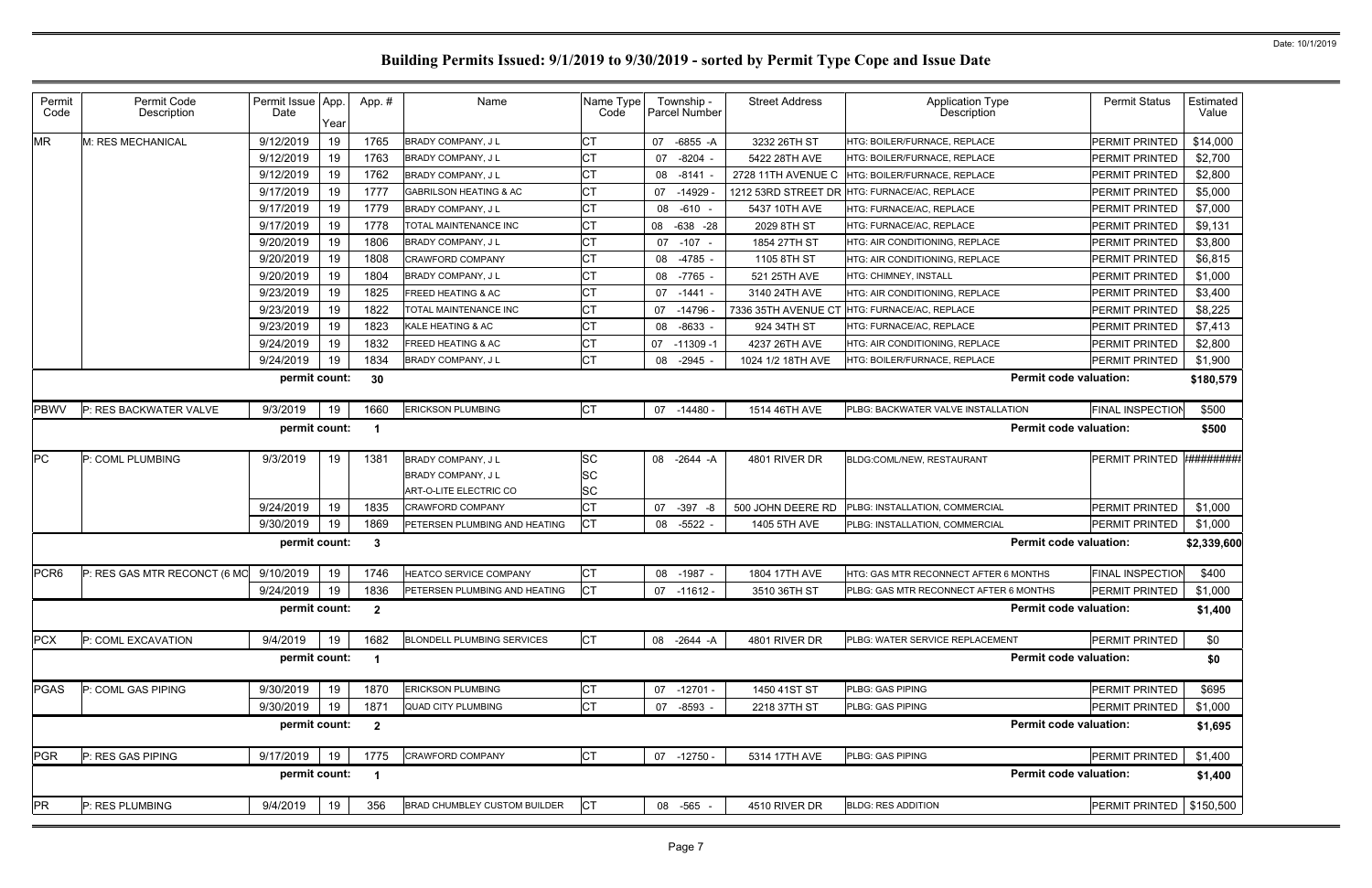| 9/12/2019<br>19<br><b>CT</b><br>1765<br>\$14,000<br>M: RES MECHANICAL<br>BRADY COMPANY, J L<br>07<br>-6855 -A<br>3232 26TH ST<br>HTG: BOILER/FURNACE. REPLACE<br><b>PERMIT PRINTED</b><br>19<br><b>CT</b><br>9/12/2019<br>1763<br>\$2,700<br>07 -8204<br>5422 28TH AVE<br><b>PERMIT PRINTED</b><br><b>BRADY COMPANY, JL</b><br><b>ITG: BOILER/FURNACE, REPLACE</b><br><b>CT</b><br>19<br>9/12/2019<br>1762<br>\$2,800<br><b>PERMIT PRINTED</b><br><b>BRADY COMPANY, JL</b><br>08 -8141<br>2728 11TH AVENUE C<br>HTG: BOILER/FURNACE, REPLACE<br><b>CT</b><br>9/17/2019<br>19<br>1777<br>\$5,000<br>07 -14929<br><b>PERMIT PRINTED</b><br><b>GABRILSON HEATING &amp; AC</b><br>1212 53RD STREET DR<br>HTG: FURNACE/AC, REPLACE<br><b>CT</b><br>9/17/2019<br>19<br>1779<br>\$7,000<br>5437 10TH AVE<br><b>PERMIT PRINTED</b><br>BRADY COMPANY, J L<br>08<br>-610 -<br>HTG: FURNACE/AC, REPLACE<br><b>CT</b><br>19<br>9/17/2019<br>1778<br>TOTAL MAINTENANCE INC<br>08 -638 -28<br>2029 8TH ST<br>HTG: FURNACE/AC, REPLACE<br><b>PERMIT PRINTED</b><br>\$9,131<br><b>CT</b><br>9/20/2019<br>19<br>1806<br>\$3,800<br>BRADY COMPANY, J L<br>07 -107 -<br>HTG: AIR CONDITIONING, REPLACE<br><b>PERMIT PRINTED</b><br>1854 27TH ST<br><b>CT</b><br>19<br>9/20/2019<br>1808<br>CRAWFORD COMPANY<br>08 -4785<br>1105 8TH ST<br><b>HTG: AIR CONDITIONING, REPLACE</b><br><b>PERMIT PRINTED</b><br>\$6,815<br><b>CT</b><br>9/20/2019<br>19<br>1804<br>BRADY COMPANY, J L<br>08 -7765<br>HTG: CHIMNEY, INSTALL<br><b>PERMIT PRINTED</b><br>\$1,000<br>521 25TH AVE<br><b>CT</b><br>9/23/2019<br>19<br>1825<br><b>REED HEATING &amp; AC</b><br>3140 24TH AVE<br>HTG: AIR CONDITIONING, REPLACE<br><b>PERMIT PRINTED</b><br>\$3,400<br>07 -1441 -<br><b>CT</b><br>9/23/2019<br>19<br>1822<br>\$8,225<br><b>TOTAL MAINTENANCE INC</b><br>7336 35TH AVENUE CT HTG: FURNACE/AC, REPLACE<br><b>PERMIT PRINTED</b><br>07 -14796<br><b>CT</b><br>19<br>9/23/2019<br>1823<br>KALE HEATING & AC<br>08 -8633<br>924 34TH ST<br><b>ITG: FURNACE/AC, REPLACE</b><br><b>PERMIT PRINTED</b><br>\$7,413<br><b>CT</b><br>9/24/2019<br>19<br>1832<br><b>FREED HEATING &amp; AC</b><br>HTG: AIR CONDITIONING. REPLACE<br><b>PERMIT PRINTED</b><br>\$2,800<br>07<br>-11309 -1<br>4237 26TH AVE<br><b>CT</b><br>19<br>9/24/2019<br>1834<br>08 -2945<br><b>PERMIT PRINTED</b><br>\$1,900<br>BRADY COMPANY, J L<br>1024 1/2 18TH AVE<br>HTG: BOILER/FURNACE. REPLACE<br><b>Permit code valuation:</b><br>permit count:<br>30<br>\$180,579<br><b>CT</b><br>9/3/2019<br>\$500<br>P: RES BACKWATER VALVE<br>19<br>1660<br><b>ERICKSON PLUMBING</b><br>PLBG: BACKWATER VALVE INSTALLATION<br><b>FINAL INSPECTION</b><br>07 -14480 -<br>1514 46TH AVE<br>permit count:<br><b>Permit code valuation:</b><br>\$500<br>-1<br><b>************</b> *<br>SC<br>P: COML PLUMBING<br>9/3/2019<br>19<br>BRADY COMPANY, J L<br>4801 RIVER DR<br>BLDG:COML/NEW, RESTAURANT<br>1381<br>08 -2644 -A<br><b>PERMIT PRINTED</b><br>SC<br><b>BRADY COMPANY, JL</b><br><b>SC</b><br>ART-O-LITE ELECTRIC CO<br><b>CT</b><br>9/24/2019<br>19<br>1835<br><b>CRAWFORD COMPANY</b><br>500 JOHN DEERE RD<br>PLBG: INSTALLATION, COMMERCIAL<br><b>PERMIT PRINTED</b><br>\$1,000<br>07<br>-397 -8<br><b>CT</b><br>9/30/2019<br>19<br>1869<br><b>PERMIT PRINTED</b><br>\$1,000<br>08 -5522 -<br>1405 5TH AVE<br>PETERSEN PLUMBING AND HEATING<br>PLBG: INSTALLATION, COMMERCIAL<br>permit count:<br><b>Permit code valuation:</b><br>$\mathbf{3}$<br><b>CT</b><br>9/10/2019<br>19<br>1746<br><b>HEATCO SERVICE COMPANY</b><br>HTG: GAS MTR RECONNECT AFTER 6 MONTHS<br><b>FINAL INSPECTION</b><br>\$400<br>P: RES GAS MTR RECONCT (6 MO<br>08 -1987 -<br>1804 17TH AVE<br>$9/24/2019$ 19<br>PETERSEN PLUMBING AND HEATING CT<br>PERMIT PRINTED   \$1,000<br>1836<br>$07 - 11612 -$<br>3510 36TH ST<br>PLBG: GAS MTR RECONNECT AFTER 6 MONTHS<br>permit count:<br><b>Permit code valuation:</b><br>\$1,400<br>$\overline{2}$<br><b>CT</b><br>P: COML EXCAVATION<br>9/4/2019<br>19<br><b>BLONDELL PLUMBING SERVICES</b><br>PERMIT PRINTED<br>\$0<br>1682<br>08 -2644 -A<br>4801 RIVER DR<br>PLBG: WATER SERVICE REPLACEMENT<br>permit count:<br><b>Permit code valuation:</b><br>\$0<br>$\overline{\mathbf{1}}$<br>9/30/2019<br>IСТ<br>\$695<br>P: COML GAS PIPING<br>19<br>1870<br><b>ERICKSON PLUMBING</b><br>07 -12701 -<br>1450 41ST ST<br>PLBG: GAS PIPING<br><b>PERMIT PRINTED</b><br><b>CT</b><br>9/30/2019<br>19<br>1871<br><b>QUAD CITY PLUMBING</b><br>07 -8593<br><b>PLBG: GAS PIPING</b><br><b>PERMIT PRINTED</b><br>\$1,000<br>2218 37TH ST<br>permit count:<br><b>Permit code valuation:</b><br>$\overline{\mathbf{2}}$<br>\$1,695<br>9/17/2019<br><b>CT</b><br>P: RES GAS PIPING<br>19<br><b>CRAWFORD COMPANY</b><br>07 -12750 -<br>PLBG: GAS PIPING<br>PERMIT PRINTED<br>\$1,400<br>1775<br>5314 17TH AVE<br><b>Permit code valuation:</b><br>permit count:<br>$\overline{\mathbf{1}}$<br>\$1,400<br><b>PR</b><br><b>CT</b><br>PERMIT PRINTED   \$150,500<br>BRAD CHUMBLEY CUSTOM BUILDER<br><b>BLDG: RES ADDITION</b><br>P: RES PLUMBING<br>9/4/2019<br>19<br>356<br>4510 RIVER DR<br>08 -565 - | Permit<br>Code   | Permit Code<br>Description | Permit Issue App.<br>Date | Year | App.# | Name | Name Type<br>Code | Township -<br>Parcel Number | <b>Street Address</b> | <b>Application Type</b><br>Description | <b>Permit Status</b> | Estimated<br>Value |
|----------------------------------------------------------------------------------------------------------------------------------------------------------------------------------------------------------------------------------------------------------------------------------------------------------------------------------------------------------------------------------------------------------------------------------------------------------------------------------------------------------------------------------------------------------------------------------------------------------------------------------------------------------------------------------------------------------------------------------------------------------------------------------------------------------------------------------------------------------------------------------------------------------------------------------------------------------------------------------------------------------------------------------------------------------------------------------------------------------------------------------------------------------------------------------------------------------------------------------------------------------------------------------------------------------------------------------------------------------------------------------------------------------------------------------------------------------------------------------------------------------------------------------------------------------------------------------------------------------------------------------------------------------------------------------------------------------------------------------------------------------------------------------------------------------------------------------------------------------------------------------------------------------------------------------------------------------------------------------------------------------------------------------------------------------------------------------------------------------------------------------------------------------------------------------------------------------------------------------------------------------------------------------------------------------------------------------------------------------------------------------------------------------------------------------------------------------------------------------------------------------------------------------------------------------------------------------------------------------------------------------------------------------------------------------------------------------------------------------------------------------------------------------------------------------------------------------------------------------------------------------------------------------------------------------------------------------------------------------------------------------------------------------------------------------------------------------------------------------------------------------------------------------------------------------------------------------------------------------------------------------------------------------------------------------------------------------------------------------------------------------------------------------------------------------------------------------------------------------------------------------------------------------------------------------------------------------------------------------------------------------------------------------------------------------------------------------------------------------------------------------------------------------------------------------------------------------------------------------------------------------------------------------------------------------------------------------------------------------------------------------------------------------------------------------------------------------------------------------------------------------------------------------------------------------------------------------------------------------------------------------------------------------------------------------------------------------------------------------------------------------------------------------------------------------------------------------------------------------------------------------------------------------------------------------------------------------------------------------------------------------------------------------------------------------------------------------------------------------------------------------------------------------------------------------------------------------------------------------------------------------------------------------------------------------------------------------------------------------------------------------------------------------------------------------------------------------------------------------------------------------------------|------------------|----------------------------|---------------------------|------|-------|------|-------------------|-----------------------------|-----------------------|----------------------------------------|----------------------|--------------------|
|                                                                                                                                                                                                                                                                                                                                                                                                                                                                                                                                                                                                                                                                                                                                                                                                                                                                                                                                                                                                                                                                                                                                                                                                                                                                                                                                                                                                                                                                                                                                                                                                                                                                                                                                                                                                                                                                                                                                                                                                                                                                                                                                                                                                                                                                                                                                                                                                                                                                                                                                                                                                                                                                                                                                                                                                                                                                                                                                                                                                                                                                                                                                                                                                                                                                                                                                                                                                                                                                                                                                                                                                                                                                                                                                                                                                                                                                                                                                                                                                                                                                                                                                                                                                                                                                                                                                                                                                                                                                                                                                                                                                                                                                                                                                                                                                                                                                                                                                                                                                                                                                                                                                              | <b>MR</b>        |                            |                           |      |       |      |                   |                             |                       |                                        |                      |                    |
| \$2,339,600                                                                                                                                                                                                                                                                                                                                                                                                                                                                                                                                                                                                                                                                                                                                                                                                                                                                                                                                                                                                                                                                                                                                                                                                                                                                                                                                                                                                                                                                                                                                                                                                                                                                                                                                                                                                                                                                                                                                                                                                                                                                                                                                                                                                                                                                                                                                                                                                                                                                                                                                                                                                                                                                                                                                                                                                                                                                                                                                                                                                                                                                                                                                                                                                                                                                                                                                                                                                                                                                                                                                                                                                                                                                                                                                                                                                                                                                                                                                                                                                                                                                                                                                                                                                                                                                                                                                                                                                                                                                                                                                                                                                                                                                                                                                                                                                                                                                                                                                                                                                                                                                                                                                  |                  |                            |                           |      |       |      |                   |                             |                       |                                        |                      |                    |
|                                                                                                                                                                                                                                                                                                                                                                                                                                                                                                                                                                                                                                                                                                                                                                                                                                                                                                                                                                                                                                                                                                                                                                                                                                                                                                                                                                                                                                                                                                                                                                                                                                                                                                                                                                                                                                                                                                                                                                                                                                                                                                                                                                                                                                                                                                                                                                                                                                                                                                                                                                                                                                                                                                                                                                                                                                                                                                                                                                                                                                                                                                                                                                                                                                                                                                                                                                                                                                                                                                                                                                                                                                                                                                                                                                                                                                                                                                                                                                                                                                                                                                                                                                                                                                                                                                                                                                                                                                                                                                                                                                                                                                                                                                                                                                                                                                                                                                                                                                                                                                                                                                                                              |                  |                            |                           |      |       |      |                   |                             |                       |                                        |                      |                    |
|                                                                                                                                                                                                                                                                                                                                                                                                                                                                                                                                                                                                                                                                                                                                                                                                                                                                                                                                                                                                                                                                                                                                                                                                                                                                                                                                                                                                                                                                                                                                                                                                                                                                                                                                                                                                                                                                                                                                                                                                                                                                                                                                                                                                                                                                                                                                                                                                                                                                                                                                                                                                                                                                                                                                                                                                                                                                                                                                                                                                                                                                                                                                                                                                                                                                                                                                                                                                                                                                                                                                                                                                                                                                                                                                                                                                                                                                                                                                                                                                                                                                                                                                                                                                                                                                                                                                                                                                                                                                                                                                                                                                                                                                                                                                                                                                                                                                                                                                                                                                                                                                                                                                              |                  |                            |                           |      |       |      |                   |                             |                       |                                        |                      |                    |
|                                                                                                                                                                                                                                                                                                                                                                                                                                                                                                                                                                                                                                                                                                                                                                                                                                                                                                                                                                                                                                                                                                                                                                                                                                                                                                                                                                                                                                                                                                                                                                                                                                                                                                                                                                                                                                                                                                                                                                                                                                                                                                                                                                                                                                                                                                                                                                                                                                                                                                                                                                                                                                                                                                                                                                                                                                                                                                                                                                                                                                                                                                                                                                                                                                                                                                                                                                                                                                                                                                                                                                                                                                                                                                                                                                                                                                                                                                                                                                                                                                                                                                                                                                                                                                                                                                                                                                                                                                                                                                                                                                                                                                                                                                                                                                                                                                                                                                                                                                                                                                                                                                                                              |                  |                            |                           |      |       |      |                   |                             |                       |                                        |                      |                    |
|                                                                                                                                                                                                                                                                                                                                                                                                                                                                                                                                                                                                                                                                                                                                                                                                                                                                                                                                                                                                                                                                                                                                                                                                                                                                                                                                                                                                                                                                                                                                                                                                                                                                                                                                                                                                                                                                                                                                                                                                                                                                                                                                                                                                                                                                                                                                                                                                                                                                                                                                                                                                                                                                                                                                                                                                                                                                                                                                                                                                                                                                                                                                                                                                                                                                                                                                                                                                                                                                                                                                                                                                                                                                                                                                                                                                                                                                                                                                                                                                                                                                                                                                                                                                                                                                                                                                                                                                                                                                                                                                                                                                                                                                                                                                                                                                                                                                                                                                                                                                                                                                                                                                              |                  |                            |                           |      |       |      |                   |                             |                       |                                        |                      |                    |
|                                                                                                                                                                                                                                                                                                                                                                                                                                                                                                                                                                                                                                                                                                                                                                                                                                                                                                                                                                                                                                                                                                                                                                                                                                                                                                                                                                                                                                                                                                                                                                                                                                                                                                                                                                                                                                                                                                                                                                                                                                                                                                                                                                                                                                                                                                                                                                                                                                                                                                                                                                                                                                                                                                                                                                                                                                                                                                                                                                                                                                                                                                                                                                                                                                                                                                                                                                                                                                                                                                                                                                                                                                                                                                                                                                                                                                                                                                                                                                                                                                                                                                                                                                                                                                                                                                                                                                                                                                                                                                                                                                                                                                                                                                                                                                                                                                                                                                                                                                                                                                                                                                                                              |                  |                            |                           |      |       |      |                   |                             |                       |                                        |                      |                    |
|                                                                                                                                                                                                                                                                                                                                                                                                                                                                                                                                                                                                                                                                                                                                                                                                                                                                                                                                                                                                                                                                                                                                                                                                                                                                                                                                                                                                                                                                                                                                                                                                                                                                                                                                                                                                                                                                                                                                                                                                                                                                                                                                                                                                                                                                                                                                                                                                                                                                                                                                                                                                                                                                                                                                                                                                                                                                                                                                                                                                                                                                                                                                                                                                                                                                                                                                                                                                                                                                                                                                                                                                                                                                                                                                                                                                                                                                                                                                                                                                                                                                                                                                                                                                                                                                                                                                                                                                                                                                                                                                                                                                                                                                                                                                                                                                                                                                                                                                                                                                                                                                                                                                              |                  |                            |                           |      |       |      |                   |                             |                       |                                        |                      |                    |
|                                                                                                                                                                                                                                                                                                                                                                                                                                                                                                                                                                                                                                                                                                                                                                                                                                                                                                                                                                                                                                                                                                                                                                                                                                                                                                                                                                                                                                                                                                                                                                                                                                                                                                                                                                                                                                                                                                                                                                                                                                                                                                                                                                                                                                                                                                                                                                                                                                                                                                                                                                                                                                                                                                                                                                                                                                                                                                                                                                                                                                                                                                                                                                                                                                                                                                                                                                                                                                                                                                                                                                                                                                                                                                                                                                                                                                                                                                                                                                                                                                                                                                                                                                                                                                                                                                                                                                                                                                                                                                                                                                                                                                                                                                                                                                                                                                                                                                                                                                                                                                                                                                                                              |                  |                            |                           |      |       |      |                   |                             |                       |                                        |                      |                    |
|                                                                                                                                                                                                                                                                                                                                                                                                                                                                                                                                                                                                                                                                                                                                                                                                                                                                                                                                                                                                                                                                                                                                                                                                                                                                                                                                                                                                                                                                                                                                                                                                                                                                                                                                                                                                                                                                                                                                                                                                                                                                                                                                                                                                                                                                                                                                                                                                                                                                                                                                                                                                                                                                                                                                                                                                                                                                                                                                                                                                                                                                                                                                                                                                                                                                                                                                                                                                                                                                                                                                                                                                                                                                                                                                                                                                                                                                                                                                                                                                                                                                                                                                                                                                                                                                                                                                                                                                                                                                                                                                                                                                                                                                                                                                                                                                                                                                                                                                                                                                                                                                                                                                              |                  |                            |                           |      |       |      |                   |                             |                       |                                        |                      |                    |
|                                                                                                                                                                                                                                                                                                                                                                                                                                                                                                                                                                                                                                                                                                                                                                                                                                                                                                                                                                                                                                                                                                                                                                                                                                                                                                                                                                                                                                                                                                                                                                                                                                                                                                                                                                                                                                                                                                                                                                                                                                                                                                                                                                                                                                                                                                                                                                                                                                                                                                                                                                                                                                                                                                                                                                                                                                                                                                                                                                                                                                                                                                                                                                                                                                                                                                                                                                                                                                                                                                                                                                                                                                                                                                                                                                                                                                                                                                                                                                                                                                                                                                                                                                                                                                                                                                                                                                                                                                                                                                                                                                                                                                                                                                                                                                                                                                                                                                                                                                                                                                                                                                                                              |                  |                            |                           |      |       |      |                   |                             |                       |                                        |                      |                    |
|                                                                                                                                                                                                                                                                                                                                                                                                                                                                                                                                                                                                                                                                                                                                                                                                                                                                                                                                                                                                                                                                                                                                                                                                                                                                                                                                                                                                                                                                                                                                                                                                                                                                                                                                                                                                                                                                                                                                                                                                                                                                                                                                                                                                                                                                                                                                                                                                                                                                                                                                                                                                                                                                                                                                                                                                                                                                                                                                                                                                                                                                                                                                                                                                                                                                                                                                                                                                                                                                                                                                                                                                                                                                                                                                                                                                                                                                                                                                                                                                                                                                                                                                                                                                                                                                                                                                                                                                                                                                                                                                                                                                                                                                                                                                                                                                                                                                                                                                                                                                                                                                                                                                              |                  |                            |                           |      |       |      |                   |                             |                       |                                        |                      |                    |
|                                                                                                                                                                                                                                                                                                                                                                                                                                                                                                                                                                                                                                                                                                                                                                                                                                                                                                                                                                                                                                                                                                                                                                                                                                                                                                                                                                                                                                                                                                                                                                                                                                                                                                                                                                                                                                                                                                                                                                                                                                                                                                                                                                                                                                                                                                                                                                                                                                                                                                                                                                                                                                                                                                                                                                                                                                                                                                                                                                                                                                                                                                                                                                                                                                                                                                                                                                                                                                                                                                                                                                                                                                                                                                                                                                                                                                                                                                                                                                                                                                                                                                                                                                                                                                                                                                                                                                                                                                                                                                                                                                                                                                                                                                                                                                                                                                                                                                                                                                                                                                                                                                                                              |                  |                            |                           |      |       |      |                   |                             |                       |                                        |                      |                    |
|                                                                                                                                                                                                                                                                                                                                                                                                                                                                                                                                                                                                                                                                                                                                                                                                                                                                                                                                                                                                                                                                                                                                                                                                                                                                                                                                                                                                                                                                                                                                                                                                                                                                                                                                                                                                                                                                                                                                                                                                                                                                                                                                                                                                                                                                                                                                                                                                                                                                                                                                                                                                                                                                                                                                                                                                                                                                                                                                                                                                                                                                                                                                                                                                                                                                                                                                                                                                                                                                                                                                                                                                                                                                                                                                                                                                                                                                                                                                                                                                                                                                                                                                                                                                                                                                                                                                                                                                                                                                                                                                                                                                                                                                                                                                                                                                                                                                                                                                                                                                                                                                                                                                              |                  |                            |                           |      |       |      |                   |                             |                       |                                        |                      |                    |
|                                                                                                                                                                                                                                                                                                                                                                                                                                                                                                                                                                                                                                                                                                                                                                                                                                                                                                                                                                                                                                                                                                                                                                                                                                                                                                                                                                                                                                                                                                                                                                                                                                                                                                                                                                                                                                                                                                                                                                                                                                                                                                                                                                                                                                                                                                                                                                                                                                                                                                                                                                                                                                                                                                                                                                                                                                                                                                                                                                                                                                                                                                                                                                                                                                                                                                                                                                                                                                                                                                                                                                                                                                                                                                                                                                                                                                                                                                                                                                                                                                                                                                                                                                                                                                                                                                                                                                                                                                                                                                                                                                                                                                                                                                                                                                                                                                                                                                                                                                                                                                                                                                                                              |                  |                            |                           |      |       |      |                   |                             |                       |                                        |                      |                    |
|                                                                                                                                                                                                                                                                                                                                                                                                                                                                                                                                                                                                                                                                                                                                                                                                                                                                                                                                                                                                                                                                                                                                                                                                                                                                                                                                                                                                                                                                                                                                                                                                                                                                                                                                                                                                                                                                                                                                                                                                                                                                                                                                                                                                                                                                                                                                                                                                                                                                                                                                                                                                                                                                                                                                                                                                                                                                                                                                                                                                                                                                                                                                                                                                                                                                                                                                                                                                                                                                                                                                                                                                                                                                                                                                                                                                                                                                                                                                                                                                                                                                                                                                                                                                                                                                                                                                                                                                                                                                                                                                                                                                                                                                                                                                                                                                                                                                                                                                                                                                                                                                                                                                              | <b>PBWV</b>      |                            |                           |      |       |      |                   |                             |                       |                                        |                      |                    |
|                                                                                                                                                                                                                                                                                                                                                                                                                                                                                                                                                                                                                                                                                                                                                                                                                                                                                                                                                                                                                                                                                                                                                                                                                                                                                                                                                                                                                                                                                                                                                                                                                                                                                                                                                                                                                                                                                                                                                                                                                                                                                                                                                                                                                                                                                                                                                                                                                                                                                                                                                                                                                                                                                                                                                                                                                                                                                                                                                                                                                                                                                                                                                                                                                                                                                                                                                                                                                                                                                                                                                                                                                                                                                                                                                                                                                                                                                                                                                                                                                                                                                                                                                                                                                                                                                                                                                                                                                                                                                                                                                                                                                                                                                                                                                                                                                                                                                                                                                                                                                                                                                                                                              |                  |                            |                           |      |       |      |                   |                             |                       |                                        |                      |                    |
|                                                                                                                                                                                                                                                                                                                                                                                                                                                                                                                                                                                                                                                                                                                                                                                                                                                                                                                                                                                                                                                                                                                                                                                                                                                                                                                                                                                                                                                                                                                                                                                                                                                                                                                                                                                                                                                                                                                                                                                                                                                                                                                                                                                                                                                                                                                                                                                                                                                                                                                                                                                                                                                                                                                                                                                                                                                                                                                                                                                                                                                                                                                                                                                                                                                                                                                                                                                                                                                                                                                                                                                                                                                                                                                                                                                                                                                                                                                                                                                                                                                                                                                                                                                                                                                                                                                                                                                                                                                                                                                                                                                                                                                                                                                                                                                                                                                                                                                                                                                                                                                                                                                                              | <b>IPC</b>       |                            |                           |      |       |      |                   |                             |                       |                                        |                      |                    |
|                                                                                                                                                                                                                                                                                                                                                                                                                                                                                                                                                                                                                                                                                                                                                                                                                                                                                                                                                                                                                                                                                                                                                                                                                                                                                                                                                                                                                                                                                                                                                                                                                                                                                                                                                                                                                                                                                                                                                                                                                                                                                                                                                                                                                                                                                                                                                                                                                                                                                                                                                                                                                                                                                                                                                                                                                                                                                                                                                                                                                                                                                                                                                                                                                                                                                                                                                                                                                                                                                                                                                                                                                                                                                                                                                                                                                                                                                                                                                                                                                                                                                                                                                                                                                                                                                                                                                                                                                                                                                                                                                                                                                                                                                                                                                                                                                                                                                                                                                                                                                                                                                                                                              |                  |                            |                           |      |       |      |                   |                             |                       |                                        |                      |                    |
|                                                                                                                                                                                                                                                                                                                                                                                                                                                                                                                                                                                                                                                                                                                                                                                                                                                                                                                                                                                                                                                                                                                                                                                                                                                                                                                                                                                                                                                                                                                                                                                                                                                                                                                                                                                                                                                                                                                                                                                                                                                                                                                                                                                                                                                                                                                                                                                                                                                                                                                                                                                                                                                                                                                                                                                                                                                                                                                                                                                                                                                                                                                                                                                                                                                                                                                                                                                                                                                                                                                                                                                                                                                                                                                                                                                                                                                                                                                                                                                                                                                                                                                                                                                                                                                                                                                                                                                                                                                                                                                                                                                                                                                                                                                                                                                                                                                                                                                                                                                                                                                                                                                                              |                  |                            |                           |      |       |      |                   |                             |                       |                                        |                      |                    |
|                                                                                                                                                                                                                                                                                                                                                                                                                                                                                                                                                                                                                                                                                                                                                                                                                                                                                                                                                                                                                                                                                                                                                                                                                                                                                                                                                                                                                                                                                                                                                                                                                                                                                                                                                                                                                                                                                                                                                                                                                                                                                                                                                                                                                                                                                                                                                                                                                                                                                                                                                                                                                                                                                                                                                                                                                                                                                                                                                                                                                                                                                                                                                                                                                                                                                                                                                                                                                                                                                                                                                                                                                                                                                                                                                                                                                                                                                                                                                                                                                                                                                                                                                                                                                                                                                                                                                                                                                                                                                                                                                                                                                                                                                                                                                                                                                                                                                                                                                                                                                                                                                                                                              |                  |                            |                           |      |       |      |                   |                             |                       |                                        |                      |                    |
|                                                                                                                                                                                                                                                                                                                                                                                                                                                                                                                                                                                                                                                                                                                                                                                                                                                                                                                                                                                                                                                                                                                                                                                                                                                                                                                                                                                                                                                                                                                                                                                                                                                                                                                                                                                                                                                                                                                                                                                                                                                                                                                                                                                                                                                                                                                                                                                                                                                                                                                                                                                                                                                                                                                                                                                                                                                                                                                                                                                                                                                                                                                                                                                                                                                                                                                                                                                                                                                                                                                                                                                                                                                                                                                                                                                                                                                                                                                                                                                                                                                                                                                                                                                                                                                                                                                                                                                                                                                                                                                                                                                                                                                                                                                                                                                                                                                                                                                                                                                                                                                                                                                                              |                  |                            |                           |      |       |      |                   |                             |                       |                                        |                      |                    |
|                                                                                                                                                                                                                                                                                                                                                                                                                                                                                                                                                                                                                                                                                                                                                                                                                                                                                                                                                                                                                                                                                                                                                                                                                                                                                                                                                                                                                                                                                                                                                                                                                                                                                                                                                                                                                                                                                                                                                                                                                                                                                                                                                                                                                                                                                                                                                                                                                                                                                                                                                                                                                                                                                                                                                                                                                                                                                                                                                                                                                                                                                                                                                                                                                                                                                                                                                                                                                                                                                                                                                                                                                                                                                                                                                                                                                                                                                                                                                                                                                                                                                                                                                                                                                                                                                                                                                                                                                                                                                                                                                                                                                                                                                                                                                                                                                                                                                                                                                                                                                                                                                                                                              |                  |                            |                           |      |       |      |                   |                             |                       |                                        |                      |                    |
|                                                                                                                                                                                                                                                                                                                                                                                                                                                                                                                                                                                                                                                                                                                                                                                                                                                                                                                                                                                                                                                                                                                                                                                                                                                                                                                                                                                                                                                                                                                                                                                                                                                                                                                                                                                                                                                                                                                                                                                                                                                                                                                                                                                                                                                                                                                                                                                                                                                                                                                                                                                                                                                                                                                                                                                                                                                                                                                                                                                                                                                                                                                                                                                                                                                                                                                                                                                                                                                                                                                                                                                                                                                                                                                                                                                                                                                                                                                                                                                                                                                                                                                                                                                                                                                                                                                                                                                                                                                                                                                                                                                                                                                                                                                                                                                                                                                                                                                                                                                                                                                                                                                                              | PCR <sub>6</sub> |                            |                           |      |       |      |                   |                             |                       |                                        |                      |                    |
|                                                                                                                                                                                                                                                                                                                                                                                                                                                                                                                                                                                                                                                                                                                                                                                                                                                                                                                                                                                                                                                                                                                                                                                                                                                                                                                                                                                                                                                                                                                                                                                                                                                                                                                                                                                                                                                                                                                                                                                                                                                                                                                                                                                                                                                                                                                                                                                                                                                                                                                                                                                                                                                                                                                                                                                                                                                                                                                                                                                                                                                                                                                                                                                                                                                                                                                                                                                                                                                                                                                                                                                                                                                                                                                                                                                                                                                                                                                                                                                                                                                                                                                                                                                                                                                                                                                                                                                                                                                                                                                                                                                                                                                                                                                                                                                                                                                                                                                                                                                                                                                                                                                                              |                  |                            |                           |      |       |      |                   |                             |                       |                                        |                      |                    |
|                                                                                                                                                                                                                                                                                                                                                                                                                                                                                                                                                                                                                                                                                                                                                                                                                                                                                                                                                                                                                                                                                                                                                                                                                                                                                                                                                                                                                                                                                                                                                                                                                                                                                                                                                                                                                                                                                                                                                                                                                                                                                                                                                                                                                                                                                                                                                                                                                                                                                                                                                                                                                                                                                                                                                                                                                                                                                                                                                                                                                                                                                                                                                                                                                                                                                                                                                                                                                                                                                                                                                                                                                                                                                                                                                                                                                                                                                                                                                                                                                                                                                                                                                                                                                                                                                                                                                                                                                                                                                                                                                                                                                                                                                                                                                                                                                                                                                                                                                                                                                                                                                                                                              |                  |                            |                           |      |       |      |                   |                             |                       |                                        |                      |                    |
|                                                                                                                                                                                                                                                                                                                                                                                                                                                                                                                                                                                                                                                                                                                                                                                                                                                                                                                                                                                                                                                                                                                                                                                                                                                                                                                                                                                                                                                                                                                                                                                                                                                                                                                                                                                                                                                                                                                                                                                                                                                                                                                                                                                                                                                                                                                                                                                                                                                                                                                                                                                                                                                                                                                                                                                                                                                                                                                                                                                                                                                                                                                                                                                                                                                                                                                                                                                                                                                                                                                                                                                                                                                                                                                                                                                                                                                                                                                                                                                                                                                                                                                                                                                                                                                                                                                                                                                                                                                                                                                                                                                                                                                                                                                                                                                                                                                                                                                                                                                                                                                                                                                                              | <b>PCX</b>       |                            |                           |      |       |      |                   |                             |                       |                                        |                      |                    |
|                                                                                                                                                                                                                                                                                                                                                                                                                                                                                                                                                                                                                                                                                                                                                                                                                                                                                                                                                                                                                                                                                                                                                                                                                                                                                                                                                                                                                                                                                                                                                                                                                                                                                                                                                                                                                                                                                                                                                                                                                                                                                                                                                                                                                                                                                                                                                                                                                                                                                                                                                                                                                                                                                                                                                                                                                                                                                                                                                                                                                                                                                                                                                                                                                                                                                                                                                                                                                                                                                                                                                                                                                                                                                                                                                                                                                                                                                                                                                                                                                                                                                                                                                                                                                                                                                                                                                                                                                                                                                                                                                                                                                                                                                                                                                                                                                                                                                                                                                                                                                                                                                                                                              |                  |                            |                           |      |       |      |                   |                             |                       |                                        |                      |                    |
|                                                                                                                                                                                                                                                                                                                                                                                                                                                                                                                                                                                                                                                                                                                                                                                                                                                                                                                                                                                                                                                                                                                                                                                                                                                                                                                                                                                                                                                                                                                                                                                                                                                                                                                                                                                                                                                                                                                                                                                                                                                                                                                                                                                                                                                                                                                                                                                                                                                                                                                                                                                                                                                                                                                                                                                                                                                                                                                                                                                                                                                                                                                                                                                                                                                                                                                                                                                                                                                                                                                                                                                                                                                                                                                                                                                                                                                                                                                                                                                                                                                                                                                                                                                                                                                                                                                                                                                                                                                                                                                                                                                                                                                                                                                                                                                                                                                                                                                                                                                                                                                                                                                                              | <b>PGAS</b>      |                            |                           |      |       |      |                   |                             |                       |                                        |                      |                    |
|                                                                                                                                                                                                                                                                                                                                                                                                                                                                                                                                                                                                                                                                                                                                                                                                                                                                                                                                                                                                                                                                                                                                                                                                                                                                                                                                                                                                                                                                                                                                                                                                                                                                                                                                                                                                                                                                                                                                                                                                                                                                                                                                                                                                                                                                                                                                                                                                                                                                                                                                                                                                                                                                                                                                                                                                                                                                                                                                                                                                                                                                                                                                                                                                                                                                                                                                                                                                                                                                                                                                                                                                                                                                                                                                                                                                                                                                                                                                                                                                                                                                                                                                                                                                                                                                                                                                                                                                                                                                                                                                                                                                                                                                                                                                                                                                                                                                                                                                                                                                                                                                                                                                              |                  |                            |                           |      |       |      |                   |                             |                       |                                        |                      |                    |
|                                                                                                                                                                                                                                                                                                                                                                                                                                                                                                                                                                                                                                                                                                                                                                                                                                                                                                                                                                                                                                                                                                                                                                                                                                                                                                                                                                                                                                                                                                                                                                                                                                                                                                                                                                                                                                                                                                                                                                                                                                                                                                                                                                                                                                                                                                                                                                                                                                                                                                                                                                                                                                                                                                                                                                                                                                                                                                                                                                                                                                                                                                                                                                                                                                                                                                                                                                                                                                                                                                                                                                                                                                                                                                                                                                                                                                                                                                                                                                                                                                                                                                                                                                                                                                                                                                                                                                                                                                                                                                                                                                                                                                                                                                                                                                                                                                                                                                                                                                                                                                                                                                                                              |                  |                            |                           |      |       |      |                   |                             |                       |                                        |                      |                    |
|                                                                                                                                                                                                                                                                                                                                                                                                                                                                                                                                                                                                                                                                                                                                                                                                                                                                                                                                                                                                                                                                                                                                                                                                                                                                                                                                                                                                                                                                                                                                                                                                                                                                                                                                                                                                                                                                                                                                                                                                                                                                                                                                                                                                                                                                                                                                                                                                                                                                                                                                                                                                                                                                                                                                                                                                                                                                                                                                                                                                                                                                                                                                                                                                                                                                                                                                                                                                                                                                                                                                                                                                                                                                                                                                                                                                                                                                                                                                                                                                                                                                                                                                                                                                                                                                                                                                                                                                                                                                                                                                                                                                                                                                                                                                                                                                                                                                                                                                                                                                                                                                                                                                              | PGR              |                            |                           |      |       |      |                   |                             |                       |                                        |                      |                    |
|                                                                                                                                                                                                                                                                                                                                                                                                                                                                                                                                                                                                                                                                                                                                                                                                                                                                                                                                                                                                                                                                                                                                                                                                                                                                                                                                                                                                                                                                                                                                                                                                                                                                                                                                                                                                                                                                                                                                                                                                                                                                                                                                                                                                                                                                                                                                                                                                                                                                                                                                                                                                                                                                                                                                                                                                                                                                                                                                                                                                                                                                                                                                                                                                                                                                                                                                                                                                                                                                                                                                                                                                                                                                                                                                                                                                                                                                                                                                                                                                                                                                                                                                                                                                                                                                                                                                                                                                                                                                                                                                                                                                                                                                                                                                                                                                                                                                                                                                                                                                                                                                                                                                              |                  |                            |                           |      |       |      |                   |                             |                       |                                        |                      |                    |
|                                                                                                                                                                                                                                                                                                                                                                                                                                                                                                                                                                                                                                                                                                                                                                                                                                                                                                                                                                                                                                                                                                                                                                                                                                                                                                                                                                                                                                                                                                                                                                                                                                                                                                                                                                                                                                                                                                                                                                                                                                                                                                                                                                                                                                                                                                                                                                                                                                                                                                                                                                                                                                                                                                                                                                                                                                                                                                                                                                                                                                                                                                                                                                                                                                                                                                                                                                                                                                                                                                                                                                                                                                                                                                                                                                                                                                                                                                                                                                                                                                                                                                                                                                                                                                                                                                                                                                                                                                                                                                                                                                                                                                                                                                                                                                                                                                                                                                                                                                                                                                                                                                                                              |                  |                            |                           |      |       |      |                   |                             |                       |                                        |                      |                    |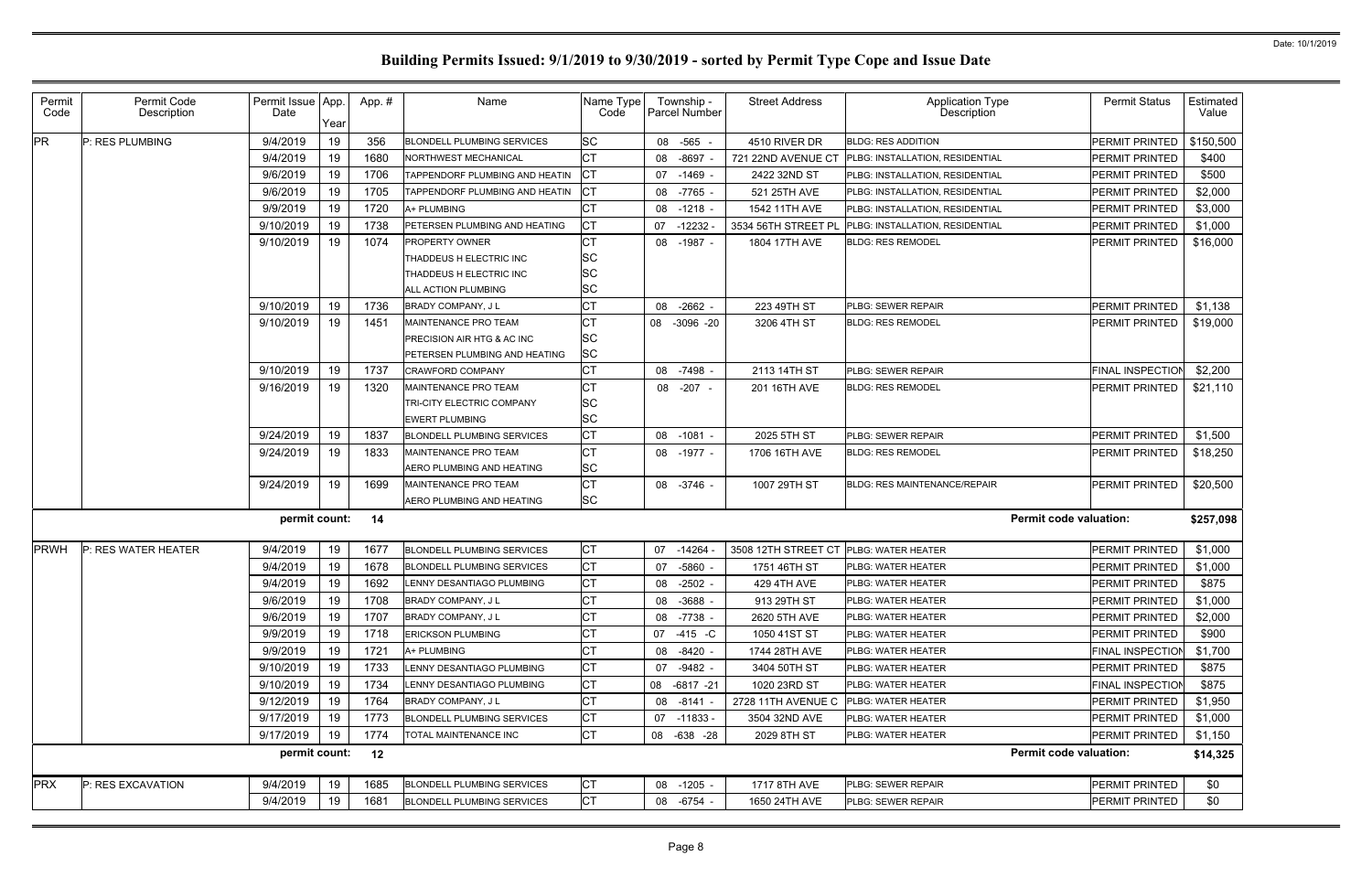| Permit<br>Code | Permit Code<br>Description | Permit Issue App<br>Date | Year | App.# | Name                              | Name Type<br>Code |    | Township -<br><b>Parcel Number</b> | <b>Street Address</b> | <b>Application Type</b><br>Description | <b>Permit Status</b>    | <b>Estimated</b><br>Value |
|----------------|----------------------------|--------------------------|------|-------|-----------------------------------|-------------------|----|------------------------------------|-----------------------|----------------------------------------|-------------------------|---------------------------|
| <b>PR</b>      | P: RES PLUMBING            | 9/4/2019                 | 19   | 356   | <b>BLONDELL PLUMBING SERVICES</b> | <b>SC</b>         |    | 08 -565 -                          | 4510 RIVER DR         | <b>BLDG: RES ADDITION</b>              | PERMIT PRINTED          | \$150,500                 |
|                |                            | 9/4/2019                 | 19   | 1680  | <b>NORTHWEST MECHANICAL</b>       | <b>CT</b>         |    | 08 -8697                           | 721 22ND AVENUE CT    | PLBG: INSTALLATION, RESIDENTIAL        | <b>PERMIT PRINTED</b>   | \$400                     |
|                |                            | 9/6/2019                 | 19   | 1706  | TAPPENDORF PLUMBING AND HEATIN    | <b>ICT</b>        |    | 07 -1469 -                         | 2422 32ND ST          | PLBG: INSTALLATION, RESIDENTIAL        | <b>PERMIT PRINTED</b>   | \$500                     |
|                |                            | 9/6/2019                 | 19   | 1705  | TAPPENDORF PLUMBING AND HEATIN    | <b>ICT</b>        |    | 08 -7765                           | 521 25TH AVE          | PLBG: INSTALLATION, RESIDENTIAL        | PERMIT PRINTED          | \$2,000                   |
|                |                            | 9/9/2019                 | 19   | 1720  | A+ PLUMBING                       | <b>CT</b>         |    | 08 -1218 -                         | 1542 11TH AVE         | PLBG: INSTALLATION, RESIDENTIAL        | PERMIT PRINTED          | \$3,000                   |
|                |                            | 9/10/2019                | 19   | 1738  | PETERSEN PLUMBING AND HEATING     | <b>CT</b>         |    | 07 -12232                          | 3534 56TH STREET PL   | PLBG: INSTALLATION, RESIDENTIAL        | <b>PERMIT PRINTED</b>   | \$1,000                   |
|                |                            | 9/10/2019                | 19   | 1074  | <b>PROPERTY OWNER</b>             | <b>CT</b>         |    | 08 -1987 -                         | 1804 17TH AVE         | <b>BLDG: RES REMODEL</b>               | <b>PERMIT PRINTED</b>   | \$16,000                  |
|                |                            |                          |      |       | THADDEUS H ELECTRIC INC           | ΙSC               |    |                                    |                       |                                        |                         |                           |
|                |                            |                          |      |       | THADDEUS H ELECTRIC INC           | <b>SC</b>         |    |                                    |                       |                                        |                         |                           |
|                |                            |                          |      |       | ALL ACTION PLUMBING               | <b>SC</b>         |    |                                    |                       |                                        |                         |                           |
|                |                            | 9/10/2019                | 19   | 1736  | <b>BRADY COMPANY, JL</b>          | <b>CT</b>         |    | 08 -2662                           | 223 49TH ST           | <b>PLBG: SEWER REPAIR</b>              | <b>PERMIT PRINTED</b>   | \$1,138                   |
|                |                            | 9/10/2019                | 19   | 1451  | MAINTENANCE PRO TEAM              | <b>CT</b>         | 08 | $-3096 -20$                        | 3206 4TH ST           | <b>BLDG: RES REMODEL</b>               | <b>PERMIT PRINTED</b>   | \$19,000                  |
|                |                            |                          |      |       | PRECISION AIR HTG & AC INC        | <b>SC</b>         |    |                                    |                       |                                        |                         |                           |
|                |                            |                          |      |       | PETERSEN PLUMBING AND HEATING     | <b>SC</b>         |    |                                    |                       |                                        |                         |                           |
|                |                            | 9/10/2019                | 19   | 1737  | <b>CRAWFORD COMPANY</b>           | <b>CT</b>         |    | 08 -7498 -                         | 2113 14TH ST          | PLBG: SEWER REPAIR                     | <b>FINAL INSPECTION</b> | \$2,200                   |
|                |                            | 9/16/2019                | 19   | 1320  | MAINTENANCE PRO TEAM              | СT                |    | 08 -207 -                          | 201 16TH AVE          | <b>BLDG: RES REMODEL</b>               | PERMIT PRINTED          | \$21,110                  |
|                |                            |                          |      |       | TRI-CITY ELECTRIC COMPANY         | <b>SC</b>         |    |                                    |                       |                                        |                         |                           |
|                |                            |                          |      |       | <b>EWERT PLUMBING</b>             | <b>SC</b>         |    |                                    |                       |                                        |                         |                           |
|                |                            | 9/24/2019                | 19   | 1837  | <b>BLONDELL PLUMBING SERVICES</b> | <b>CT</b>         |    | 08 -1081 -                         | 2025 5TH ST           | PLBG: SEWER REPAIR                     | PERMIT PRINTED          | \$1,500                   |
|                |                            | 9/24/2019                | 19   | 1833  | MAINTENANCE PRO TEAM              | <b>CT</b>         |    | 08 -1977 -                         | 1706 16TH AVE         | <b>BLDG: RES REMODEL</b>               | <b>PERMIT PRINTED</b>   | \$18,250                  |
|                |                            |                          |      |       | AERO PLUMBING AND HEATING         | <b>SC</b>         |    |                                    |                       |                                        |                         |                           |
|                |                            | 9/24/2019                | 19   | 1699  | <b>MAINTENANCE PRO TEAM</b>       | <b>CT</b>         |    | 08 -3746 -                         | 1007 29TH ST          | BLDG: RES MAINTENANCE/REPAIR           | <b>PERMIT PRINTED</b>   | \$20,500                  |
|                |                            |                          |      |       | AERO PLUMBING AND HEATING         | <b>SC</b>         |    |                                    |                       |                                        |                         |                           |
|                |                            | permit count:            |      | 14    |                                   |                   |    |                                    |                       | <b>Permit code valuation:</b>          |                         | \$257,098                 |
| <b>PRWH</b>    | P: RES WATER HEATER        | 9/4/2019                 | 19   | 1677  | <b>BLONDELL PLUMBING SERVICES</b> | <b>CT</b>         | 07 | $-14264$                           | 3508 12TH STREET CT   | PLBG: WATER HEATER                     | PERMIT PRINTED          | \$1,000                   |
|                |                            | 9/4/2019                 | 19   | 1678  | <b>BLONDELL PLUMBING SERVICES</b> | <b>CT</b>         |    | 07 -5860                           | 1751 46TH ST          | PLBG: WATER HEATER                     | PERMIT PRINTED          | \$1,000                   |
|                |                            | 9/4/2019                 | 19   | 1692  | LENNY DESANTIAGO PLUMBING         | <b>CT</b>         |    | 08 -2502 -                         | 429 4TH AVE           | PLBG: WATER HEATER                     | PERMIT PRINTED          | \$875                     |
|                |                            | 9/6/2019                 | 19   | 1708  | BRADY COMPANY, J L                | <b>CT</b>         |    | 08 -3688 -                         | 913 29TH ST           | PLBG: WATER HEATER                     | PERMIT PRINTED          | \$1,000                   |
|                |                            | 9/6/2019                 | 19   | 1707  | BRADY COMPANY, J L                | <b>CT</b>         |    | 08 -7738 -                         | 2620 5TH AVE          | PLBG: WATER HEATER                     | PERMIT PRINTED          | \$2,000                   |
|                |                            | 9/9/2019                 | 19   | 1718  | <b>ERICKSON PLUMBING</b>          | <b>CT</b>         |    | 07 -415 -C                         | 1050 41ST ST          | PLBG: WATER HEATER                     | PERMIT PRINTED          | \$900                     |
|                |                            | 9/9/2019                 | 19   | 1721  | A+ PLUMBING                       | <b>CT</b>         |    | 08 -8420 -                         | 1744 28TH AVE         | <b>PLBG: WATER HEATER</b>              | FINAL INSPECTION        | \$1,700                   |
|                |                            | 9/10/2019                | 19   | 1733  | LENNY DESANTIAGO PLUMBING         | <b>CT</b>         |    | 07 -9482 -                         | 3404 50TH ST          | PLBG: WATER HEATER                     | PERMIT PRINTED          | \$875                     |
|                |                            | 9/10/2019                | 19   | 1734  | LENNY DESANTIAGO PLUMBING         | <b>CT</b>         |    | 08 -6817 -21                       | 1020 23RD ST          | PLBG: WATER HEATER                     | <b>FINAL INSPECTION</b> | \$875                     |
|                |                            | 9/12/2019                | 19   | 1764  | BRADY COMPANY, JL                 | <b>CT</b>         |    | 08 -8141 -                         | 2728 11TH AVENUE C    | <b>PLBG: WATER HEATER</b>              | <b>PERMIT PRINTED</b>   | \$1,950                   |
|                |                            | 9/17/2019                | 19   | 1773  | <b>BLONDELL PLUMBING SERVICES</b> | <b>CT</b>         |    | 07 -11833 -                        | 3504 32ND AVE         | PLBG: WATER HEATER                     | <b>PERMIT PRINTED</b>   | \$1,000                   |
|                |                            | 9/17/2019                | 19   | 1774  | TOTAL MAINTENANCE INC             | <b>CT</b>         |    | 08 -638 -28                        | 2029 8TH ST           | PLBG: WATER HEATER                     | PERMIT PRINTED          | \$1,150                   |
|                |                            | permit count:            |      | 12    |                                   |                   |    |                                    |                       | <b>Permit code valuation:</b>          |                         | \$14,325                  |
| <b>PRX</b>     | P: RES EXCAVATION          | 9/4/2019                 | 19   | 1685  | <b>BLONDELL PLUMBING SERVICES</b> | <b>CT</b>         |    | 08 -1205 -                         | 1717 8TH AVE          | PLBG: SEWER REPAIR                     | PERMIT PRINTED          | \$0                       |
|                |                            | 9/4/2019                 | 19   | 1681  | <b>BLONDELL PLUMBING SERVICES</b> | <b>CT</b>         |    | 08 -6754 -                         | 1650 24TH AVE         | PLBG: SEWER REPAIR                     | PERMIT PRINTED          | \$0                       |